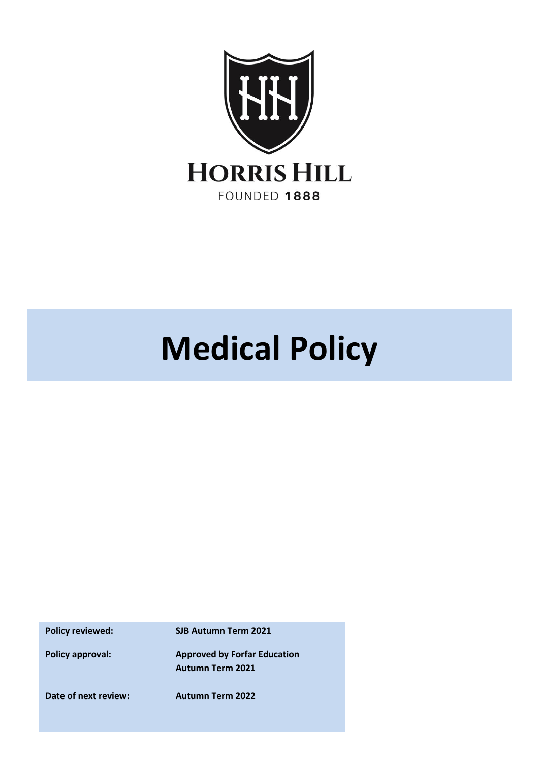

# **Medical Policy**

**Policy reviewed: SJB Autumn Term 2021**

**Policy approval: Approved by Forfar Education Autumn Term 2021**

**Date of next review: Autumn Term 2022**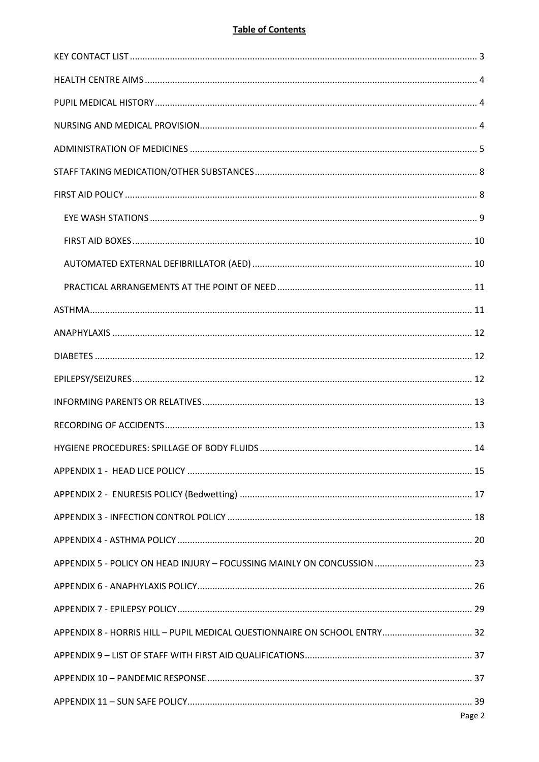# **Table of Contents**

| APPENDIX 8 - HORRIS HILL - PUPIL MEDICAL QUESTIONNAIRE ON SCHOOL ENTRY 32 |  |
|---------------------------------------------------------------------------|--|
|                                                                           |  |
|                                                                           |  |
|                                                                           |  |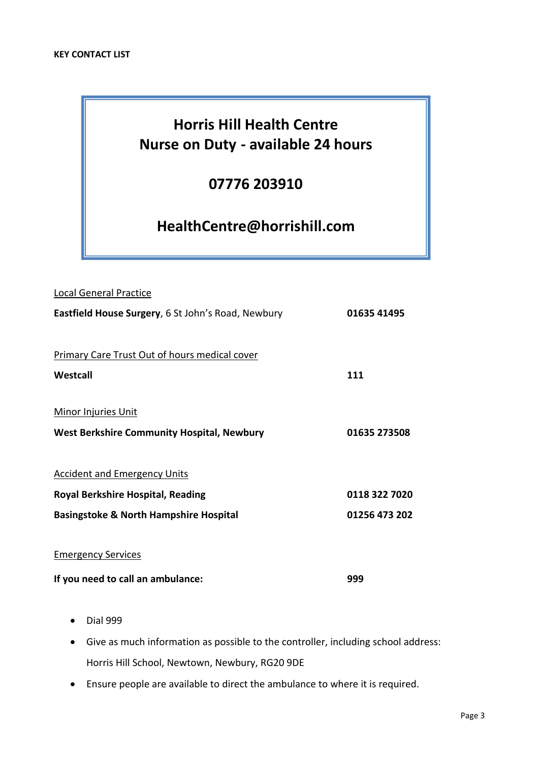# <span id="page-2-0"></span>**Horris Hill Health Centre Nurse on Duty - available 24 hours**

# **07776 203910**

# **HealthCentre@horrishill.com**

| <b>Local General Practice</b>                        |               |  |
|------------------------------------------------------|---------------|--|
| Eastfield House Surgery, 6 St John's Road, Newbury   | 01635 41495   |  |
|                                                      |               |  |
| <b>Primary Care Trust Out of hours medical cover</b> |               |  |
| Westcall                                             | 111           |  |
|                                                      |               |  |
| <b>Minor Injuries Unit</b>                           |               |  |
| <b>West Berkshire Community Hospital, Newbury</b>    | 01635 273508  |  |
|                                                      |               |  |
| <b>Accident and Emergency Units</b>                  |               |  |
| <b>Royal Berkshire Hospital, Reading</b>             | 0118 322 7020 |  |
| <b>Basingstoke &amp; North Hampshire Hospital</b>    | 01256 473 202 |  |
|                                                      |               |  |
| <b>Emergency Services</b>                            |               |  |
| If you need to call an ambulance:                    | 999           |  |

- Dial 999
- Give as much information as possible to the controller, including school address: Horris Hill School, Newtown, Newbury, RG20 9DE
- Ensure people are available to direct the ambulance to where it is required.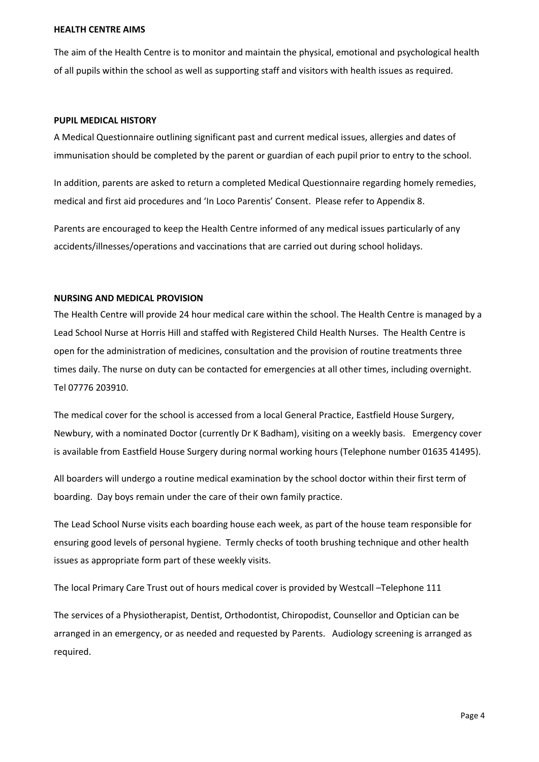#### <span id="page-3-0"></span>**HEALTH CENTRE AIMS**

The aim of the Health Centre is to monitor and maintain the physical, emotional and psychological health of all pupils within the school as well as supporting staff and visitors with health issues as required.

#### <span id="page-3-1"></span>**PUPIL MEDICAL HISTORY**

A Medical Questionnaire outlining significant past and current medical issues, allergies and dates of immunisation should be completed by the parent or guardian of each pupil prior to entry to the school.

In addition, parents are asked to return a completed Medical Questionnaire regarding homely remedies, medical and first aid procedures and 'In Loco Parentis' Consent. Please refer to Appendix 8.

Parents are encouraged to keep the Health Centre informed of any medical issues particularly of any accidents/illnesses/operations and vaccinations that are carried out during school holidays.

#### <span id="page-3-2"></span>**NURSING AND MEDICAL PROVISION**

The Health Centre will provide 24 hour medical care within the school. The Health Centre is managed by a Lead School Nurse at Horris Hill and staffed with Registered Child Health Nurses. The Health Centre is open for the administration of medicines, consultation and the provision of routine treatments three times daily. The nurse on duty can be contacted for emergencies at all other times, including overnight. Tel 07776 203910.

The medical cover for the school is accessed from a local General Practice, Eastfield House Surgery, Newbury, with a nominated Doctor (currently Dr K Badham), visiting on a weekly basis. Emergency cover is available from Eastfield House Surgery during normal working hours (Telephone number 01635 41495).

All boarders will undergo a routine medical examination by the school doctor within their first term of boarding. Day boys remain under the care of their own family practice.

The Lead School Nurse visits each boarding house each week, as part of the house team responsible for ensuring good levels of personal hygiene. Termly checks of tooth brushing technique and other health issues as appropriate form part of these weekly visits.

The local Primary Care Trust out of hours medical cover is provided by Westcall –Telephone 111

The services of a Physiotherapist, Dentist, Orthodontist, Chiropodist, Counsellor and Optician can be arranged in an emergency, or as needed and requested by Parents. Audiology screening is arranged as required.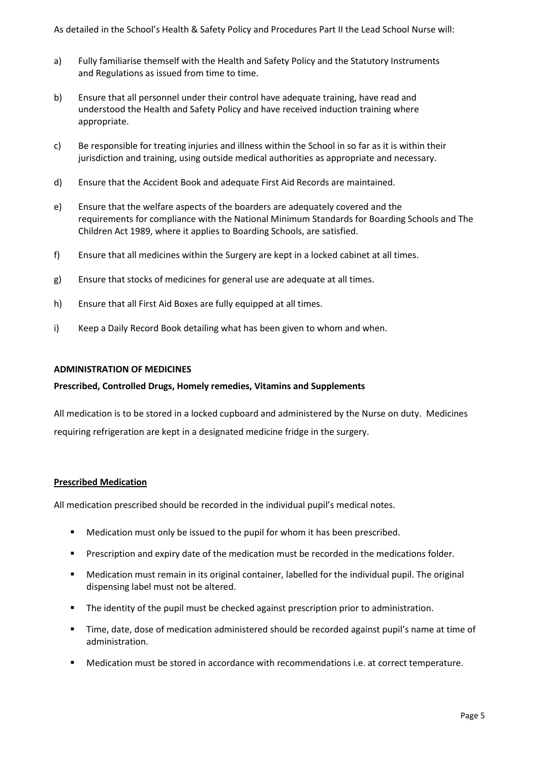As detailed in the School's Health & Safety Policy and Procedures Part II the Lead School Nurse will:

- a) Fully familiarise themself with the Health and Safety Policy and the Statutory Instruments and Regulations as issued from time to time.
- b) Ensure that all personnel under their control have adequate training, have read and understood the Health and Safety Policy and have received induction training where appropriate.
- c) Be responsible for treating injuries and illness within the School in so far as it is within their jurisdiction and training, using outside medical authorities as appropriate and necessary.
- d) Ensure that the Accident Book and adequate First Aid Records are maintained.
- e) Ensure that the welfare aspects of the boarders are adequately covered and the requirements for compliance with the National Minimum Standards for Boarding Schools and The Children Act 1989, where it applies to Boarding Schools, are satisfied.
- f) Ensure that all medicines within the Surgery are kept in a locked cabinet at all times.
- g) Ensure that stocks of medicines for general use are adequate at all times.
- h) Ensure that all First Aid Boxes are fully equipped at all times.
- i) Keep a Daily Record Book detailing what has been given to whom and when.

#### <span id="page-4-0"></span>**ADMINISTRATION OF MEDICINES**

#### **Prescribed, Controlled Drugs, Homely remedies, Vitamins and Supplements**

All medication is to be stored in a locked cupboard and administered by the Nurse on duty. Medicines requiring refrigeration are kept in a designated medicine fridge in the surgery.

#### **Prescribed Medication**

All medication prescribed should be recorded in the individual pupil's medical notes.

- Medication must only be issued to the pupil for whom it has been prescribed.
- Prescription and expiry date of the medication must be recorded in the medications folder.
- Medication must remain in its original container, labelled for the individual pupil. The original dispensing label must not be altered.
- The identity of the pupil must be checked against prescription prior to administration.
- Time, date, dose of medication administered should be recorded against pupil's name at time of administration.
- Medication must be stored in accordance with recommendations i.e. at correct temperature.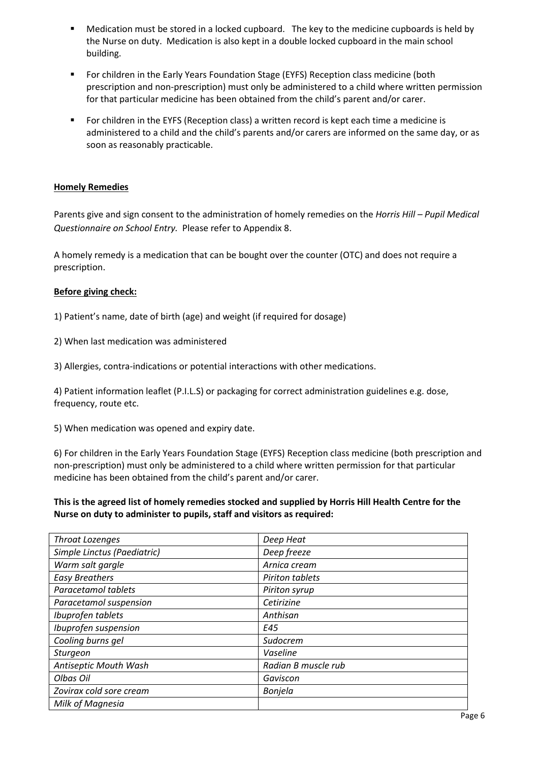- Medication must be stored in a locked cupboard. The key to the medicine cupboards is held by the Nurse on duty. Medication is also kept in a double locked cupboard in the main school building.
- **•** For children in the Early Years Foundation Stage (EYFS) Reception class medicine (both prescription and non-prescription) must only be administered to a child where written permission for that particular medicine has been obtained from the child's parent and/or carer.
- For children in the EYFS (Reception class) a written record is kept each time a medicine is administered to a child and the child's parents and/or carers are informed on the same day, or as soon as reasonably practicable.

## **Homely Remedies**

Parents give and sign consent to the administration of homely remedies on the *Horris Hill – Pupil Medical Questionnaire on School Entry.* Please refer to Appendix 8.

A homely remedy is a medication that can be bought over the counter (OTC) and does not require a prescription.

## **Before giving check:**

1) Patient's name, date of birth (age) and weight (if required for dosage)

2) When last medication was administered

3) Allergies, contra-indications or potential interactions with other medications.

4) Patient information leaflet (P.I.L.S) or packaging for correct administration guidelines e.g. dose, frequency, route etc.

5) When medication was opened and expiry date.

6) For children in the Early Years Foundation Stage (EYFS) Reception class medicine (both prescription and non-prescription) must only be administered to a child where written permission for that particular medicine has been obtained from the child's parent and/or carer.

**This is the agreed list of homely remedies stocked and supplied by Horris Hill Health Centre for the Nurse on duty to administer to pupils, staff and visitors as required:**

| <b>Throat Lozenges</b>      | Deep Heat           |
|-----------------------------|---------------------|
| Simple Linctus (Paediatric) | Deep freeze         |
| Warm salt gargle            | Arnica cream        |
| <b>Easy Breathers</b>       | Piriton tablets     |
| Paracetamol tablets         | Piriton syrup       |
| Paracetamol suspension      | Cetirizine          |
| Ibuprofen tablets           | Anthisan            |
| Ibuprofen suspension        | E45                 |
| Cooling burns gel           | Sudocrem            |
| <b>Sturgeon</b>             | Vaseline            |
| Antiseptic Mouth Wash       | Radian B muscle rub |
| Olbas Oil                   | Gaviscon            |
| Zovirax cold sore cream     | Bonjela             |
| Milk of Magnesia            |                     |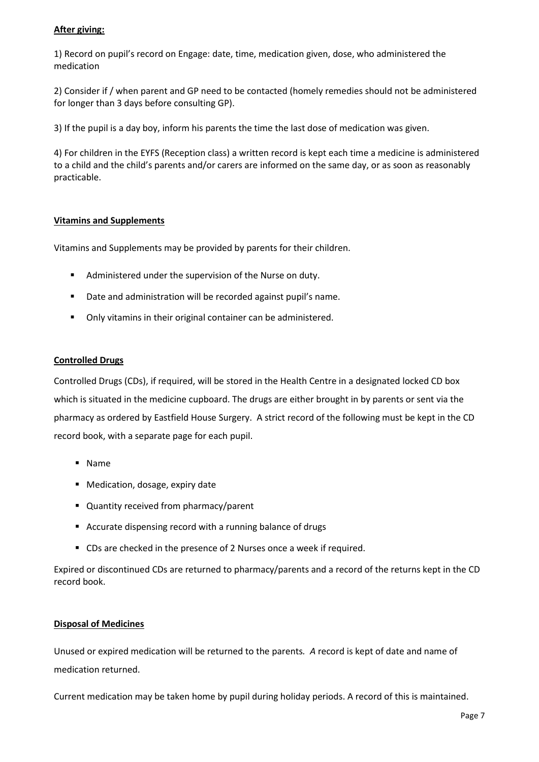# **After giving:**

1) Record on pupil's record on Engage: date, time, medication given, dose, who administered the medication

2) Consider if / when parent and GP need to be contacted (homely remedies should not be administered for longer than 3 days before consulting GP).

3) If the pupil is a day boy, inform his parents the time the last dose of medication was given.

4) For children in the EYFS (Reception class) a written record is kept each time a medicine is administered to a child and the child's parents and/or carers are informed on the same day, or as soon as reasonably practicable.

# **Vitamins and Supplements**

Vitamins and Supplements may be provided by parents for their children.

- Administered under the supervision of the Nurse on duty.
- Date and administration will be recorded against pupil's name.
- Only vitamins in their original container can be administered.

#### **Controlled Drugs**

Controlled Drugs (CDs), if required, will be stored in the Health Centre in a designated locked CD box which is situated in the medicine cupboard. The drugs are either brought in by parents or sent via the pharmacy as ordered by Eastfield House Surgery. A strict record of the following must be kept in the CD record book, with a separate page for each pupil.

- Name
- Medication, dosage, expiry date
- Quantity received from pharmacy/parent
- Accurate dispensing record with a running balance of drugs
- CDs are checked in the presence of 2 Nurses once a week if required.

Expired or discontinued CDs are returned to pharmacy/parents and a record of the returns kept in the CD record book.

#### **Disposal of Medicines**

Unused or expired medication will be returned to the parents*. A* record is kept of date and name of medication returned.

Current medication may be taken home by pupil during holiday periods. A record of this is maintained.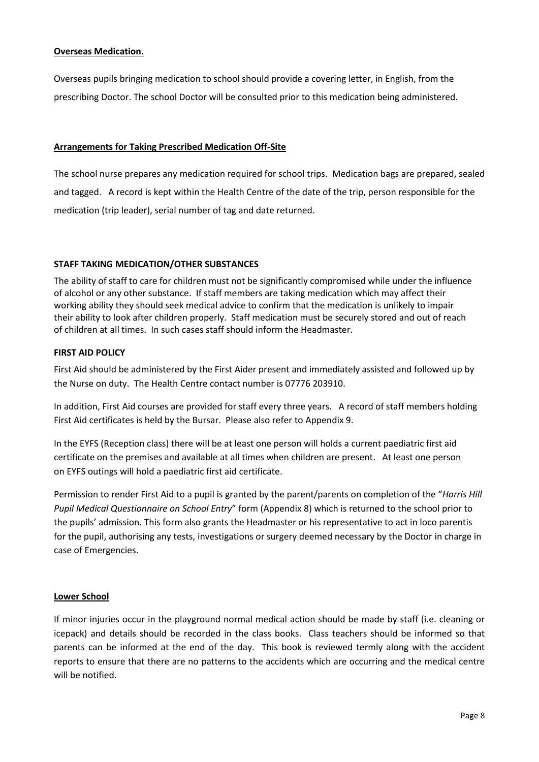#### **Overseas Medication.**

Overseas pupils bringing medication to school should provide a covering letter, in English, from the prescribing Doctor. The school Doctor will be consulted prior to this medication being administered.

## **Arrangements for Taking Prescribed Medication Off-Site**

The school nurse prepares any medication required for school trips. Medication bags are prepared, sealed and tagged. A record is kept within the Health Centre of the date of the trip, person responsible for the medication (trip leader), serial number of tag and date returned.

# <span id="page-7-0"></span>**STAFF TAKING MEDICATION/OTHER SUBSTANCES**

The ability of staff to care for children must not be significantly compromised while under the influence of alcohol or any other substance. If staff members are taking medication which may affect their working ability they should seek medical advice to confirm that the medication is unlikely to impair their ability to look after children properly. Staff medication must be securely stored and out of reach of children at all times. In such cases staff should inform the Headmaster.

## <span id="page-7-1"></span>**FIRST AID POLICY**

First Aid should be administered by the First Aider present and immediately assisted and followed up by the Nurse on duty. The Health Centre contact number is 07776 203910.

In addition, First Aid courses are provided for staff every three years. A record of staff members holding First Aid certificates is held by the Bursar. Please also refer to Appendix 9.

In the EYFS (Reception class) there will be at least one person will holds a current paediatric first aid certificate on the premises and available at all times when children are present. At least one person on EYFS outings will hold a paediatric first aid certificate.

Permission to render First Aid to a pupil is granted by the parent/parents on completion of the "*Horris Hill Pupil Medical Questionnaire on School Entry*" form (Appendix 8) which is returned to the school prior to the pupils' admission. This form also grants the Headmaster or his representative to act in loco parentis for the pupil, authorising any tests, investigations or surgery deemed necessary by the Doctor in charge in case of Emergencies.

#### **Lower School**

If minor injuries occur in the playground normal medical action should be made by staff (i.e. cleaning or icepack) and details should be recorded in the class books. Class teachers should be informed so that parents can be informed at the end of the day. This book is reviewed termly along with the accident reports to ensure that there are no patterns to the accidents which are occurring and the medical centre will be notified.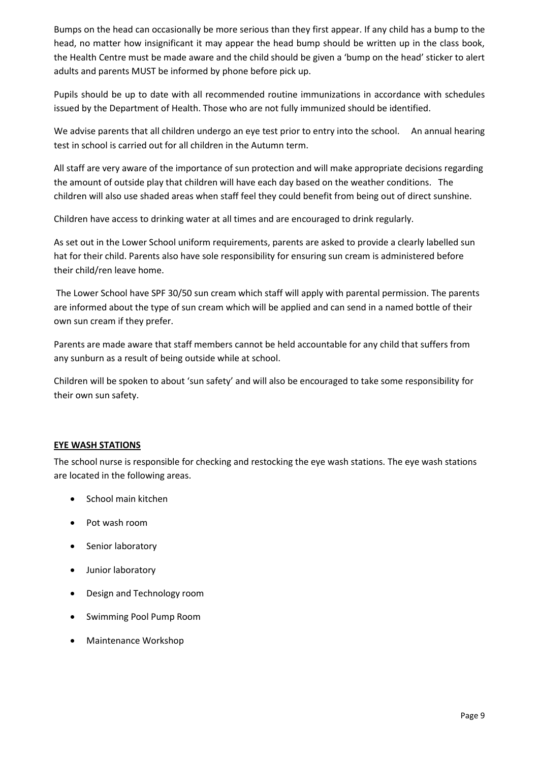Bumps on the head can occasionally be more serious than they first appear. If any child has a bump to the head, no matter how insignificant it may appear the head bump should be written up in the class book, the Health Centre must be made aware and the child should be given a 'bump on the head' sticker to alert adults and parents MUST be informed by phone before pick up.

Pupils should be up to date with all recommended routine immunizations in accordance with schedules issued by the Department of Health. Those who are not fully immunized should be identified.

We advise parents that all children undergo an eye test prior to entry into the school. An annual hearing test in school is carried out for all children in the Autumn term.

All staff are very aware of the importance of sun protection and will make appropriate decisions regarding the amount of outside play that children will have each day based on the weather conditions. The children will also use shaded areas when staff feel they could benefit from being out of direct sunshine.

Children have access to drinking water at all times and are encouraged to drink regularly.

As set out in the Lower School uniform requirements, parents are asked to provide a clearly labelled sun hat for their child. Parents also have sole responsibility for ensuring sun cream is administered before their child/ren leave home.

The Lower School have SPF 30/50 sun cream which staff will apply with parental permission. The parents are informed about the type of sun cream which will be applied and can send in a named bottle of their own sun cream if they prefer.

Parents are made aware that staff members cannot be held accountable for any child that suffers from any sunburn as a result of being outside while at school.

Children will be spoken to about 'sun safety' and will also be encouraged to take some responsibility for their own sun safety.

# <span id="page-8-0"></span>**EYE WASH STATIONS**

The school nurse is responsible for checking and restocking the eye wash stations. The eye wash stations are located in the following areas.

- School main kitchen
- Pot wash room
- Senior laboratory
- Junior laboratory
- Design and Technology room
- Swimming Pool Pump Room
- Maintenance Workshop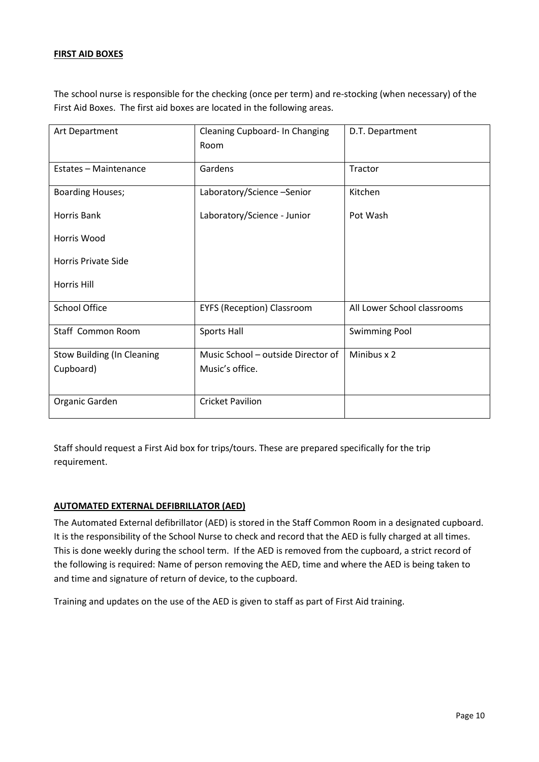# <span id="page-9-0"></span>**FIRST AID BOXES**

The school nurse is responsible for the checking (once per term) and re-stocking (when necessary) of the First Aid Boxes. The first aid boxes are located in the following areas.

| Art Department                    | Cleaning Cupboard- In Changing<br>Room | D.T. Department             |
|-----------------------------------|----------------------------------------|-----------------------------|
| Estates - Maintenance             | Gardens                                | Tractor                     |
|                                   |                                        |                             |
| <b>Boarding Houses;</b>           | Laboratory/Science-Senior              | Kitchen                     |
| Horris Bank                       | Laboratory/Science - Junior            | Pot Wash                    |
| Horris Wood                       |                                        |                             |
| Horris Private Side               |                                        |                             |
| Horris Hill                       |                                        |                             |
| <b>School Office</b>              | <b>EYFS (Reception) Classroom</b>      | All Lower School classrooms |
| Staff Common Room                 | Sports Hall                            | <b>Swimming Pool</b>        |
| <b>Stow Building (In Cleaning</b> | Music School - outside Director of     | Minibus x 2                 |
| Cupboard)                         | Music's office.                        |                             |
| Organic Garden                    | <b>Cricket Pavilion</b>                |                             |

Staff should request a First Aid box for trips/tours. These are prepared specifically for the trip requirement.

# <span id="page-9-1"></span>**AUTOMATED EXTERNAL DEFIBRILLATOR (AED)**

The Automated External defibrillator (AED) is stored in the Staff Common Room in a designated cupboard. It is the responsibility of the School Nurse to check and record that the AED is fully charged at all times. This is done weekly during the school term. If the AED is removed from the cupboard, a strict record of the following is required: Name of person removing the AED, time and where the AED is being taken to and time and signature of return of device, to the cupboard.

Training and updates on the use of the AED is given to staff as part of First Aid training.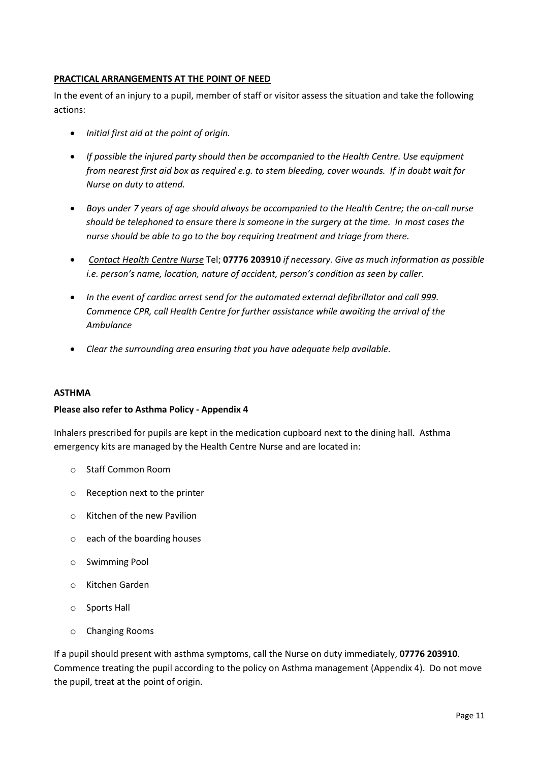# <span id="page-10-0"></span>**PRACTICAL ARRANGEMENTS AT THE POINT OF NEED**

In the event of an injury to a pupil, member of staff or visitor assess the situation and take the following actions:

- *Initial first aid at the point of origin.*
- *If possible the injured party should then be accompanied to the Health Centre. Use equipment from nearest first aid box as required e.g. to stem bleeding, cover wounds. If in doubt wait for Nurse on duty to attend.*
- *Boys under 7 years of age should always be accompanied to the Health Centre; the on-call nurse should be telephoned to ensure there is someone in the surgery at the time. In most cases the nurse should be able to go to the boy requiring treatment and triage from there.*
- *Contact Health Centre Nurse* Tel; **07776 203910** *if necessary. Give as much information as possible i.e. person's name, location, nature of accident, person's condition as seen by caller.*
- *In the event of cardiac arrest send for the automated external defibrillator and call 999. Commence CPR, call Health Centre for further assistance while awaiting the arrival of the Ambulance*
- *Clear the surrounding area ensuring that you have adequate help available.*

#### <span id="page-10-1"></span>**ASTHMA**

#### **Please also refer to Asthma Policy - Appendix 4**

Inhalers prescribed for pupils are kept in the medication cupboard next to the dining hall. Asthma emergency kits are managed by the Health Centre Nurse and are located in:

- o Staff Common Room
- o Reception next to the printer
- o Kitchen of the new Pavilion
- o each of the boarding houses
- o Swimming Pool
- o Kitchen Garden
- o Sports Hall
- o Changing Rooms

If a pupil should present with asthma symptoms, call the Nurse on duty immediately, **07776 203910**. Commence treating the pupil according to the policy on Asthma management (Appendix 4). Do not move the pupil, treat at the point of origin.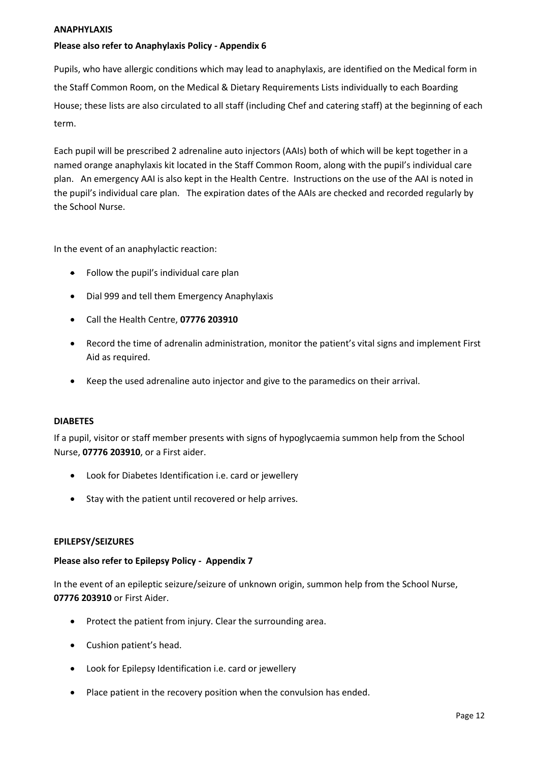#### <span id="page-11-0"></span>**ANAPHYLAXIS**

# **Please also refer to Anaphylaxis Policy - Appendix 6**

Pupils, who have allergic conditions which may lead to anaphylaxis, are identified on the Medical form in the Staff Common Room, on the Medical & Dietary Requirements Lists individually to each Boarding House; these lists are also circulated to all staff (including Chef and catering staff) at the beginning of each term.

Each pupil will be prescribed 2 adrenaline auto injectors (AAIs) both of which will be kept together in a named orange anaphylaxis kit located in the Staff Common Room, along with the pupil's individual care plan. An emergency AAI is also kept in the Health Centre. Instructions on the use of the AAI is noted in the pupil's individual care plan. The expiration dates of the AAIs are checked and recorded regularly by the School Nurse.

In the event of an anaphylactic reaction:

- Follow the pupil's individual care plan
- Dial 999 and tell them Emergency Anaphylaxis
- Call the Health Centre, **07776 203910**
- Record the time of adrenalin administration, monitor the patient's vital signs and implement First Aid as required.
- Keep the used adrenaline auto injector and give to the paramedics on their arrival.

#### <span id="page-11-1"></span>**DIABETES**

If a pupil, visitor or staff member presents with signs of hypoglycaemia summon help from the School Nurse, **07776 203910**, or a First aider.

- Look for Diabetes Identification i.e. card or jewellery
- <span id="page-11-2"></span>• Stay with the patient until recovered or help arrives.

#### **EPILEPSY/SEIZURES**

#### **Please also refer to Epilepsy Policy - Appendix 7**

In the event of an epileptic seizure/seizure of unknown origin, summon help from the School Nurse, **07776 203910** or First Aider.

- Protect the patient from injury. Clear the surrounding area.
- Cushion patient's head.
- Look for Epilepsy Identification i.e. card or jewellery
- Place patient in the recovery position when the convulsion has ended.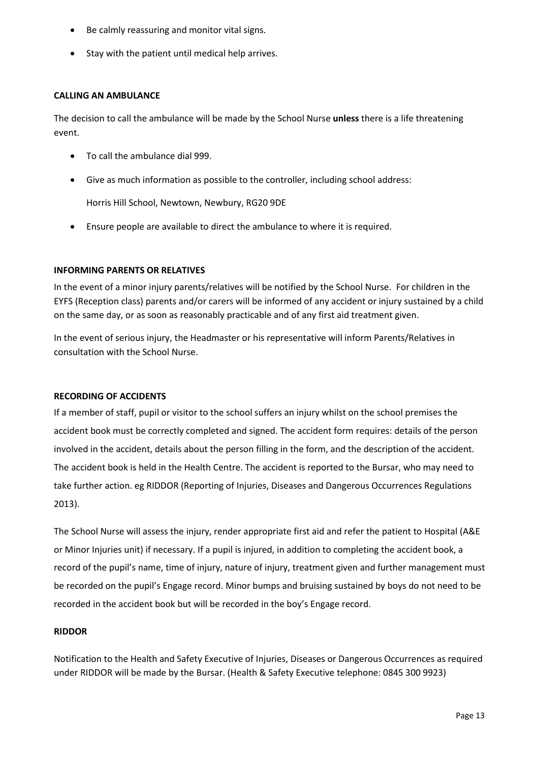- Be calmly reassuring and monitor vital signs.
- Stay with the patient until medical help arrives.

#### **CALLING AN AMBULANCE**

The decision to call the ambulance will be made by the School Nurse **unless** there is a life threatening event.

- To call the ambulance dial 999.
- Give as much information as possible to the controller, including school address:

Horris Hill School, Newtown, Newbury, RG20 9DE

• Ensure people are available to direct the ambulance to where it is required.

# <span id="page-12-0"></span>**INFORMING PARENTS OR RELATIVES**

In the event of a minor injury parents/relatives will be notified by the School Nurse. For children in the EYFS (Reception class) parents and/or carers will be informed of any accident or injury sustained by a child on the same day, or as soon as reasonably practicable and of any first aid treatment given.

In the event of serious injury, the Headmaster or his representative will inform Parents/Relatives in consultation with the School Nurse.

#### <span id="page-12-1"></span>**RECORDING OF ACCIDENTS**

If a member of staff, pupil or visitor to the school suffers an injury whilst on the school premises the accident book must be correctly completed and signed. The accident form requires: details of the person involved in the accident, details about the person filling in the form, and the description of the accident. The accident book is held in the Health Centre. The accident is reported to the Bursar, who may need to take further action. eg RIDDOR (Reporting of Injuries, Diseases and Dangerous Occurrences Regulations 2013).

The School Nurse will assess the injury, render appropriate first aid and refer the patient to Hospital (A&E or Minor Injuries unit) if necessary. If a pupil is injured, in addition to completing the accident book, a record of the pupil's name, time of injury, nature of injury, treatment given and further management must be recorded on the pupil's Engage record. Minor bumps and bruising sustained by boys do not need to be recorded in the accident book but will be recorded in the boy's Engage record.

# **RIDDOR**

Notification to the Health and Safety Executive of Injuries, Diseases or Dangerous Occurrences as required under RIDDOR will be made by the Bursar. (Health & Safety Executive telephone: 0845 300 9923)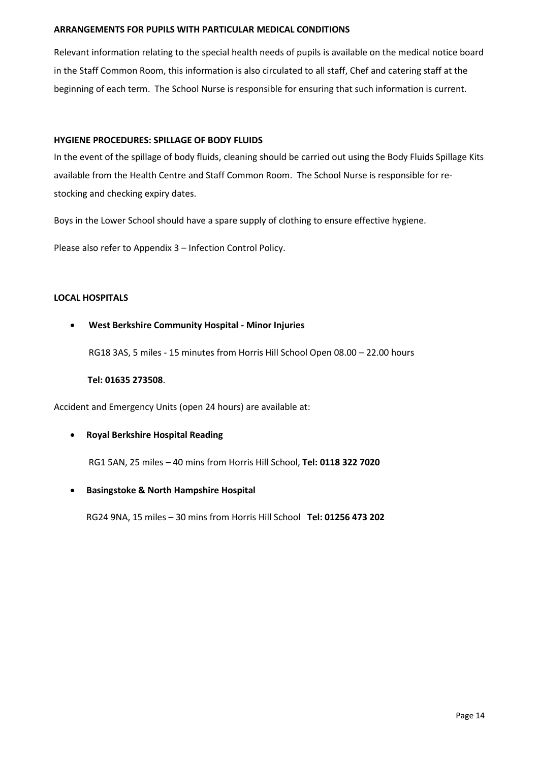#### **ARRANGEMENTS FOR PUPILS WITH PARTICULAR MEDICAL CONDITIONS**

Relevant information relating to the special health needs of pupils is available on the medical notice board in the Staff Common Room, this information is also circulated to all staff, Chef and catering staff at the beginning of each term. The School Nurse is responsible for ensuring that such information is current.

#### <span id="page-13-0"></span>**HYGIENE PROCEDURES: SPILLAGE OF BODY FLUIDS**

In the event of the spillage of body fluids, cleaning should be carried out using the Body Fluids Spillage Kits available from the Health Centre and Staff Common Room. The School Nurse is responsible for restocking and checking expiry dates.

Boys in the Lower School should have a spare supply of clothing to ensure effective hygiene.

Please also refer to Appendix 3 – Infection Control Policy.

#### **LOCAL HOSPITALS**

## • **West Berkshire Community Hospital - Minor Injuries**

RG18 3AS, 5 miles - 15 minutes from Horris Hill School Open 08.00 – 22.00 hours

#### **Tel: 01635 273508**.

Accident and Emergency Units (open 24 hours) are available at:

# • **Royal Berkshire Hospital Reading**

RG1 5AN, 25 miles – 40 mins from Horris Hill School, **Tel: 0118 322 7020**

#### • **Basingstoke & North Hampshire Hospital**

<span id="page-13-1"></span>RG24 9NA, 15 miles – 30 mins from Horris Hill School **Tel: 01256 473 202**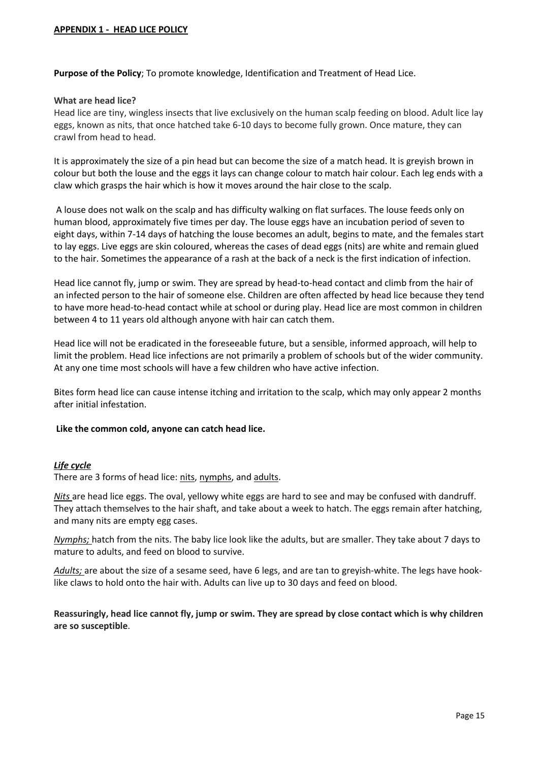#### **APPENDIX 1 - HEAD LICE POLICY**

**Purpose of the Policy**; To promote knowledge, Identification and Treatment of Head Lice.

#### **What are head lice?**

Head lice are tiny, wingless insects that live exclusively on the human scalp feeding on blood. Adult lice lay eggs, known as nits, that once hatched take 6-10 days to become fully grown. Once mature, they can crawl from head to head.

It is approximately the size of a pin head but can become the size of a match head. It is greyish brown in colour but both the louse and the eggs it lays can change colour to match hair colour. Each leg ends with a claw which grasps the hair which is how it moves around the hair close to the scalp.

A louse does not walk on the scalp and has difficulty walking on flat surfaces. The louse feeds only on human blood, approximately five times per day. The louse eggs have an incubation period of seven to eight days, within 7-14 days of hatching the louse becomes an adult, begins to mate, and the females start to lay eggs. Live eggs are skin coloured, whereas the cases of dead eggs (nits) are white and remain glued to the hair. Sometimes the appearance of a rash at the back of a neck is the first indication of infection.

Head lice cannot fly, jump or swim. They are spread by head-to-head contact and climb from the hair of an infected person to the hair of someone else. Children are often affected by head lice because they tend to have more head-to-head contact while at school or during play. Head lice are most common in children between 4 to 11 years old although anyone with hair can catch them.

Head lice will not be eradicated in the foreseeable future, but a sensible, informed approach, will help to limit the problem. Head lice infections are not primarily a problem of schools but of the wider community. At any one time most schools will have a few children who have active infection.

Bites form head lice can cause intense itching and irritation to the scalp, which may only appear 2 months after initial infestation.

#### **Like the common cold, anyone can catch head lice.**

#### *Life cycle*

There are 3 forms of head lice: [nits,](https://www.gov.uk/guidance/head-lice-pediculosis#nits) [nymphs,](https://www.gov.uk/guidance/head-lice-pediculosis#nymphs) and [adults.](https://www.gov.uk/guidance/head-lice-pediculosis#adults)

*Nits* are head lice eggs. The oval, yellowy white eggs are hard to see and may be confused with dandruff. They attach themselves to the hair shaft, and take about a week to hatch. The eggs remain after hatching, and many nits are empty egg cases.

*Nymphs;* hatch from the nits. The baby lice look like the adults, but are smaller. They take about 7 days to mature to adults, and feed on blood to survive.

*Adults;* are about the size of a sesame seed, have 6 legs, and are tan to greyish-white. The legs have hooklike claws to hold onto the hair with. Adults can live up to 30 days and feed on blood.

**Reassuringly, head lice cannot fly, jump or swim. They are spread by close contact which is why children are so susceptible**.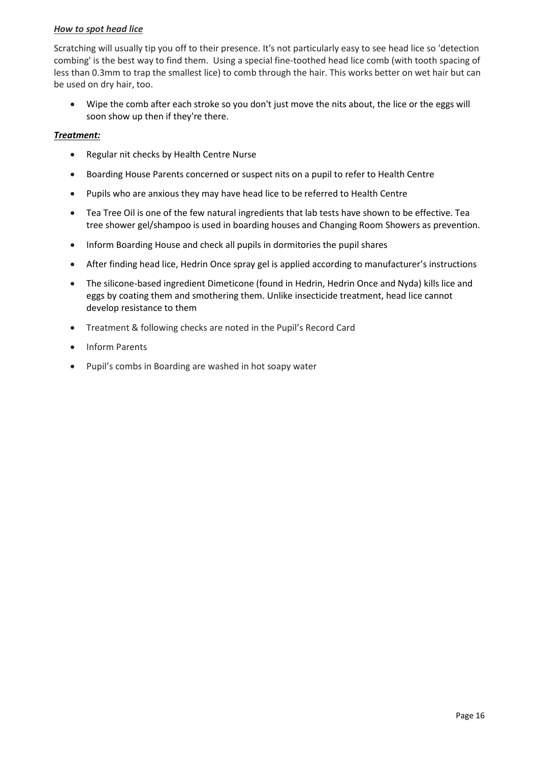# *How to spot head lice*

Scratching will usually tip you off to their presence. It's not particularly easy to see head lice so 'detection combing' is the best way to find them. Using a special fine-toothed head lice comb (with tooth spacing of less than 0.3mm to trap the smallest lice) to comb through the hair. This works better on wet hair but can be used on dry hair, too.

• Wipe the comb after each stroke so you don't just move the nits about, the lice or the eggs will soon show up then if they're there.

# *Treatment:*

- Regular nit checks by Health Centre Nurse
- Boarding House Parents concerned or suspect nits on a pupil to refer to Health Centre
- Pupils who are anxious they may have head lice to be referred to Health Centre
- Tea Tree Oil is one of the few natural ingredients that lab tests have shown to be effective. Tea tree shower gel/shampoo is used in boarding houses and Changing Room Showers as prevention.
- Inform Boarding House and check all pupils in dormitories the pupil shares
- After finding head lice, Hedrin Once spray gel is applied according to manufacturer's instructions
- The silicone-based ingredient Dimeticone (found in Hedrin, Hedrin Once and Nyda) kills lice and eggs by coating them and smothering them. Unlike insecticide treatment, head lice cannot develop resistance to them
- Treatment & following checks are noted in the Pupil's Record Card
- Inform Parents
- Pupil's combs in Boarding are washed in hot soapy water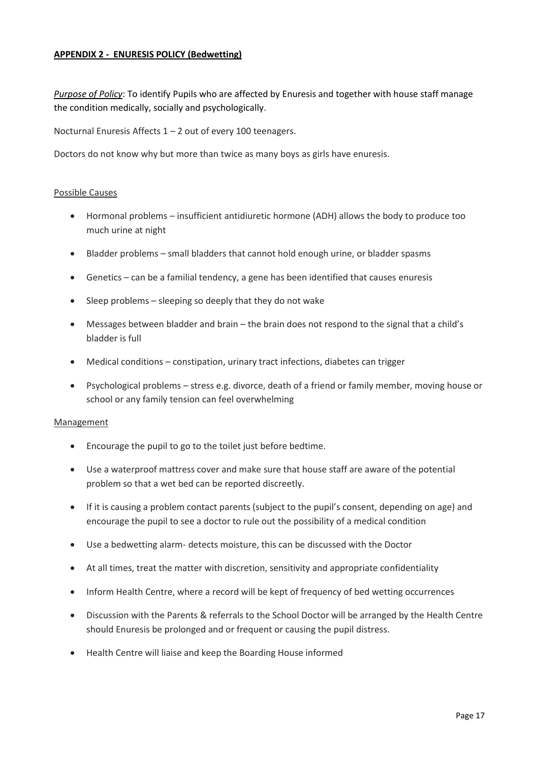# <span id="page-16-0"></span>**APPENDIX 2 - ENURESIS POLICY (Bedwetting)**

*Purpose of Policy*: To identify Pupils who are affected by Enuresis and together with house staff manage the condition medically, socially and psychologically.

Nocturnal Enuresis Affects 1 – 2 out of every 100 teenagers.

Doctors do not know why but more than twice as many boys as girls have enuresis.

#### Possible Causes

- Hormonal problems insufficient antidiuretic hormone (ADH) allows the body to produce too much urine at night
- Bladder problems small bladders that cannot hold enough urine, or bladder spasms
- Genetics can be a familial tendency, a gene has been identified that causes enuresis
- Sleep problems sleeping so deeply that they do not wake
- Messages between bladder and brain the brain does not respond to the signal that a child's bladder is full
- Medical conditions constipation, urinary tract infections, diabetes can trigger
- Psychological problems stress e.g. divorce, death of a friend or family member, moving house or school or any family tension can feel overwhelming

#### Management

- Encourage the pupil to go to the toilet just before bedtime.
- Use a waterproof mattress cover and make sure that house staff are aware of the potential problem so that a wet bed can be reported discreetly.
- If it is causing a problem contact parents (subject to the pupil's consent, depending on age) and encourage the pupil to see a doctor to rule out the possibility of a medical condition
- Use a bedwetting alarm- detects moisture, this can be discussed with the Doctor
- At all times, treat the matter with discretion, sensitivity and appropriate confidentiality
- Inform Health Centre, where a record will be kept of frequency of bed wetting occurrences
- Discussion with the Parents & referrals to the School Doctor will be arranged by the Health Centre should Enuresis be prolonged and or frequent or causing the pupil distress.
- <span id="page-16-1"></span>• Health Centre will liaise and keep the Boarding House informed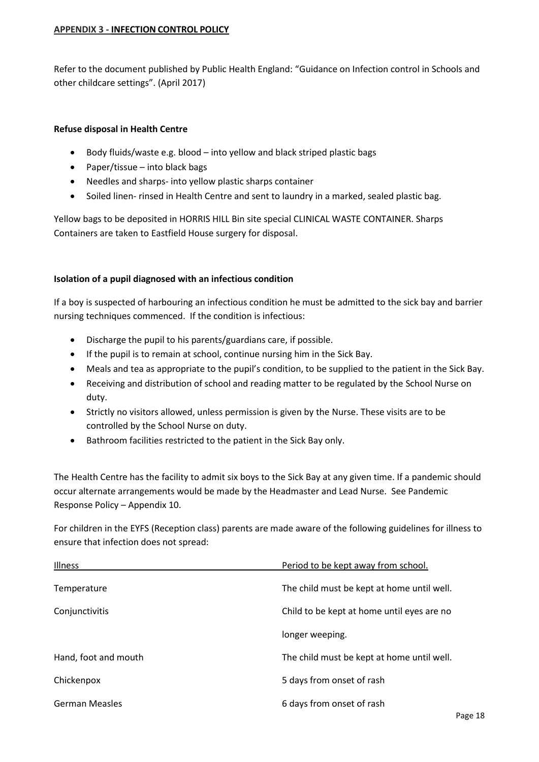## **APPENDIX 3 - INFECTION CONTROL POLICY**

Refer to the document published by Public Health England: "Guidance on Infection control in Schools and other childcare settings". (April 2017)

# **Refuse disposal in Health Centre**

- Body fluids/waste e.g. blood into yellow and black striped plastic bags
- Paper/tissue into black bags
- Needles and sharps- into yellow plastic sharps container
- Soiled linen- rinsed in Health Centre and sent to laundry in a marked, sealed plastic bag.

Yellow bags to be deposited in HORRIS HILL Bin site special CLINICAL WASTE CONTAINER. Sharps Containers are taken to Eastfield House surgery for disposal.

## **Isolation of a pupil diagnosed with an infectious condition**

If a boy is suspected of harbouring an infectious condition he must be admitted to the sick bay and barrier nursing techniques commenced. If the condition is infectious:

- Discharge the pupil to his parents/guardians care, if possible.
- If the pupil is to remain at school, continue nursing him in the Sick Bay.
- Meals and tea as appropriate to the pupil's condition, to be supplied to the patient in the Sick Bay.
- Receiving and distribution of school and reading matter to be regulated by the School Nurse on duty.
- Strictly no visitors allowed, unless permission is given by the Nurse. These visits are to be controlled by the School Nurse on duty.
- Bathroom facilities restricted to the patient in the Sick Bay only.

The Health Centre has the facility to admit six boys to the Sick Bay at any given time. If a pandemic should occur alternate arrangements would be made by the Headmaster and Lead Nurse. See Pandemic Response Policy – Appendix 10.

For children in the EYFS (Reception class) parents are made aware of the following guidelines for illness to ensure that infection does not spread:

| Illness               | Period to be kept away from school.        |
|-----------------------|--------------------------------------------|
| Temperature           | The child must be kept at home until well. |
| Conjunctivitis        | Child to be kept at home until eyes are no |
|                       | longer weeping.                            |
| Hand, foot and mouth  | The child must be kept at home until well. |
| Chickenpox            | 5 days from onset of rash                  |
| <b>German Measles</b> | 6 days from onset of rash                  |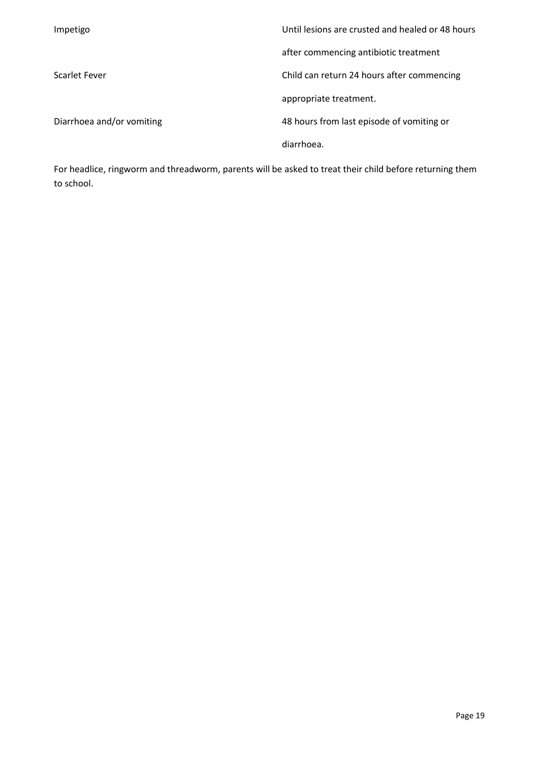| Impetigo                  | Until lesions are crusted and healed or 48 hours. |
|---------------------------|---------------------------------------------------|
|                           | after commencing antibiotic treatment             |
| Scarlet Fever             | Child can return 24 hours after commencing        |
|                           | appropriate treatment.                            |
| Diarrhoea and/or vomiting | 48 hours from last episode of vomiting or         |
|                           | diarrhoea.                                        |

For headlice, ringworm and threadworm, parents will be asked to treat their child before returning them to school.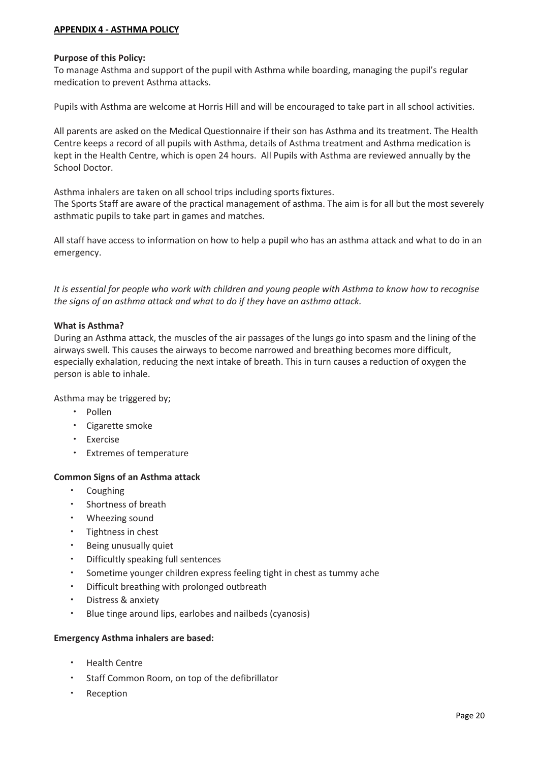# <span id="page-19-0"></span>**APPENDIX 4 - ASTHMA POLICY**

#### **Purpose of this Policy:**

To manage Asthma and support of the pupil with Asthma while boarding, managing the pupil's regular medication to prevent Asthma attacks.

Pupils with Asthma are welcome at Horris Hill and will be encouraged to take part in all school activities.

All parents are asked on the Medical Questionnaire if their son has Asthma and its treatment. The Health Centre keeps a record of all pupils with Asthma, details of Asthma treatment and Asthma medication is kept in the Health Centre, which is open 24 hours. All Pupils with Asthma are reviewed annually by the School Doctor.

Asthma inhalers are taken on all school trips including sports fixtures.

The Sports Staff are aware of the practical management of asthma. The aim is for all but the most severely asthmatic pupils to take part in games and matches.

All staff have access to information on how to help a pupil who has an asthma attack and what to do in an emergency.

*It is essential for people who work with children and young people with Asthma to know how to recognise the signs of an asthma attack and what to do if they have an asthma attack.*

#### **What is Asthma?**

During an Asthma attack, the muscles of the air passages of the lungs go into spasm and the lining of the airways swell. This causes the airways to become narrowed and breathing becomes more difficult, especially exhalation, reducing the next intake of breath. This in turn causes a reduction of oxygen the person is able to inhale.

Asthma may be triggered by;

- Pollen
- Cigarette smoke
- Exercise
- Extremes of temperature

#### **Common Signs of an Asthma attack**

- Coughing
- Shortness of breath
- Wheezing sound
- Tightness in chest
- Being unusually quiet
- Difficultly speaking full sentences
- Sometime younger children express feeling tight in chest as tummy ache
- Difficult breathing with prolonged outbreath
- Distress & anxiety
- Blue tinge around lips, earlobes and nailbeds (cyanosis)

#### **Emergency Asthma inhalers are based:**

- Health Centre
- Staff Common Room, on top of the defibrillator
- **Reception**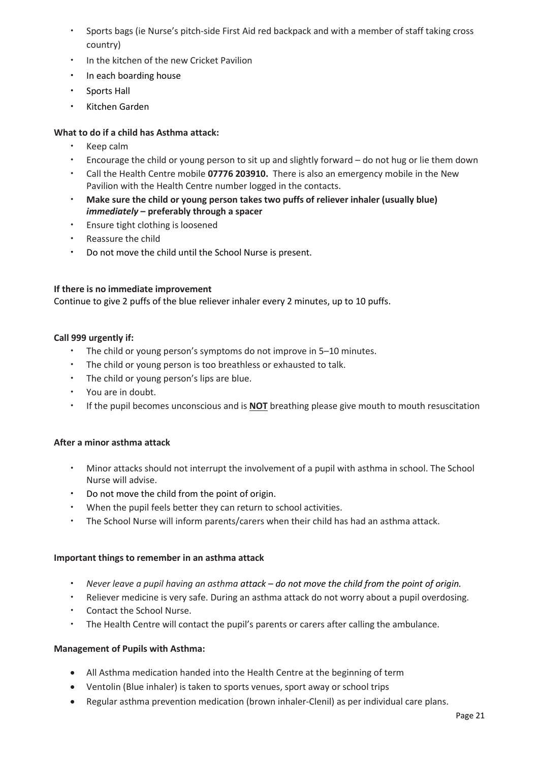- Sports bags (ie Nurse's pitch-side First Aid red backpack and with a member of staff taking cross country)
- In the kitchen of the new Cricket Pavilion
- In each boarding house
- Sports Hall
- Kitchen Garden

# **What to do if a child has Asthma attack:**

- Keep calm
- Encourage the child or young person to sit up and slightly forward do not hug or lie them down
- Call the Health Centre mobile **07776 203910.** There is also an emergency mobile in the New Pavilion with the Health Centre number logged in the contacts.
- **Make sure the child or young person takes two puffs of reliever inhaler (usually blue)**  *immediately* **– preferably through a spacer**
- Ensure tight clothing is loosened
- Reassure the child
- Do not move the child until the School Nurse is present.

#### **If there is no immediate improvement**

Continue to give 2 puffs of the blue reliever inhaler every 2 minutes, up to 10 puffs.

#### **Call 999 urgently if:**

- The child or young person's symptoms do not improve in 5–10 minutes.
- The child or young person is too breathless or exhausted to talk.
- The child or young person's lips are blue.
- You are in doubt.
- If the pupil becomes unconscious and is **NOT** breathing please give mouth to mouth resuscitation

#### **After a minor asthma attack**

- Minor attacks should not interrupt the involvement of a pupil with asthma in school. The School Nurse will advise.
- Do not move the child from the point of origin.
- When the pupil feels better they can return to school activities.
- The School Nurse will inform parents/carers when their child has had an asthma attack.

#### **Important things to remember in an asthma attack**

- *Never leave a pupil having an asthma attack – do not move the child from the point of origin.*
- Reliever medicine is very safe. During an asthma attack do not worry about a pupil overdosing.
- Contact the School Nurse.
- The Health Centre will contact the pupil's parents or carers after calling the ambulance.

#### **Management of Pupils with Asthma:**

- All Asthma medication handed into the Health Centre at the beginning of term
- Ventolin (Blue inhaler) is taken to sports venues, sport away or school trips
- Regular asthma prevention medication (brown inhaler-Clenil) as per individual care plans.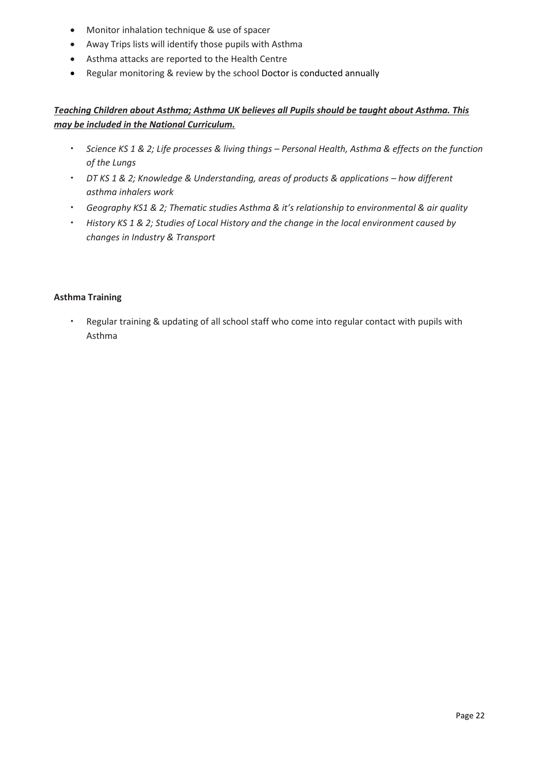- Monitor inhalation technique & use of spacer
- Away Trips lists will identify those pupils with Asthma
- Asthma attacks are reported to the Health Centre
- Regular monitoring & review by the school Doctor is conducted annually

# *Teaching Children about Asthma; Asthma UK believes all Pupils should be taught about Asthma. This may be included in the National Curriculum.*

- *Science KS 1 & 2; Life processes & living things – Personal Health, Asthma & effects on the function of the Lungs*
- *DT KS 1 & 2; Knowledge & Understanding, areas of products & applications how different asthma inhalers work*
- *Geography KS1 & 2; Thematic studies Asthma & it's relationship to environmental & air quality*
- *History KS 1 & 2; Studies of Local History and the change in the local environment caused by changes in Industry & Transport*

## **Asthma Training**

• Regular training & updating of all school staff who come into regular contact with pupils with Asthma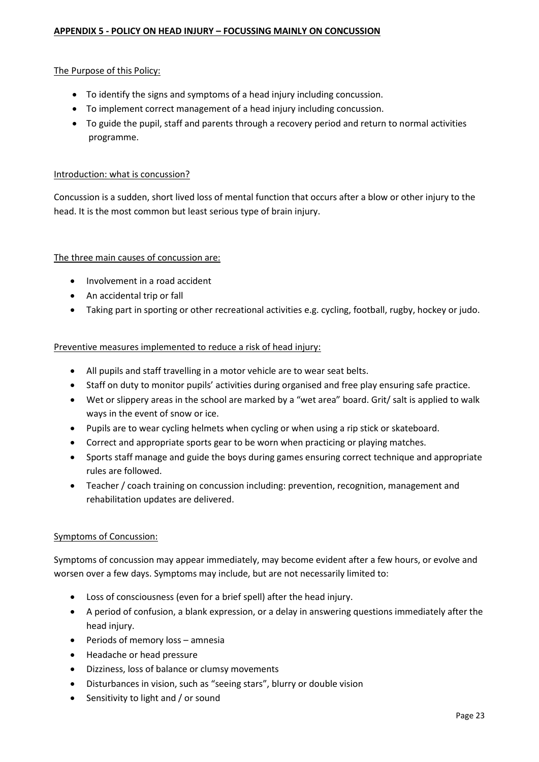# <span id="page-22-0"></span>The Purpose of this Policy:

- To identify the signs and symptoms of a head injury including concussion.
- To implement correct management of a head injury including concussion.
- To guide the pupil, staff and parents through a recovery period and return to normal activities programme.

## Introduction: what is concussion?

Concussion is a sudden, short lived loss of mental function that occurs after a blow or other injury to the head. It is the most common but least serious type of brain injury.

## The three main causes of concussion are:

- Involvement in a road accident
- An accidental trip or fall
- Taking part in sporting or other recreational activities e.g. cycling, football, rugby, hockey or judo.

# Preventive measures implemented to reduce a risk of head injury:

- All pupils and staff travelling in a motor vehicle are to wear seat belts.
- Staff on duty to monitor pupils' activities during organised and free play ensuring safe practice.
- Wet or slippery areas in the school are marked by a "wet area" board. Grit/ salt is applied to walk ways in the event of snow or ice.
- Pupils are to wear cycling helmets when cycling or when using a rip stick or skateboard.
- Correct and appropriate sports gear to be worn when practicing or playing matches.
- Sports staff manage and guide the boys during games ensuring correct technique and appropriate rules are followed.
- Teacher / coach training on concussion including: prevention, recognition, management and rehabilitation updates are delivered.

# Symptoms of Concussion:

Symptoms of concussion may appear immediately, may become evident after a few hours, or evolve and worsen over a few days. Symptoms may include, but are not necessarily limited to:

- Loss of consciousness (even for a brief spell) after the head injury.
- A period of confusion, a blank expression, or a delay in answering questions immediately after the head injury.
- Periods of memory loss amnesia
- Headache or head pressure
- Dizziness, loss of balance or clumsy movements
- Disturbances in vision, such as "seeing stars", blurry or double vision
- Sensitivity to light and / or sound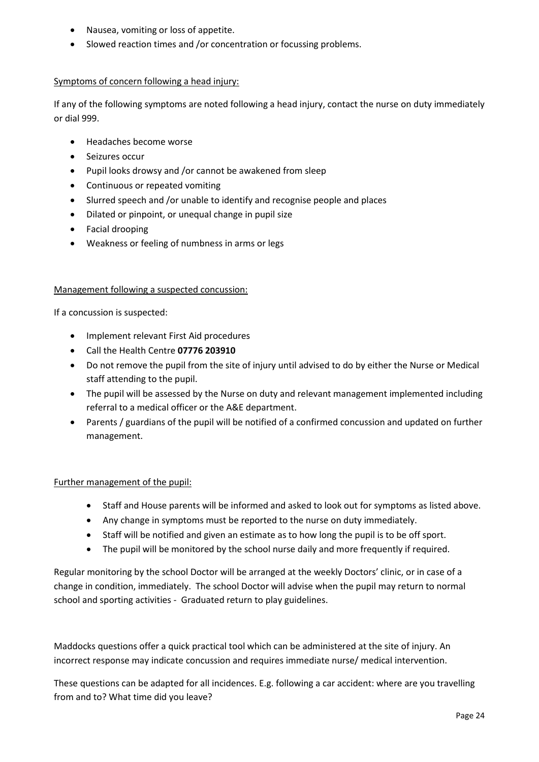- Nausea, vomiting or loss of appetite.
- Slowed reaction times and /or concentration or focussing problems.

# Symptoms of concern following a head injury:

If any of the following symptoms are noted following a head injury, contact the nurse on duty immediately or dial 999.

- Headaches become worse
- Seizures occur
- Pupil looks drowsy and /or cannot be awakened from sleep
- Continuous or repeated vomiting
- Slurred speech and /or unable to identify and recognise people and places
- Dilated or pinpoint, or unequal change in pupil size
- Facial drooping
- Weakness or feeling of numbness in arms or legs

## Management following a suspected concussion:

If a concussion is suspected:

- Implement relevant First Aid procedures
- Call the Health Centre **07776 203910**
- Do not remove the pupil from the site of injury until advised to do by either the Nurse or Medical staff attending to the pupil.
- The pupil will be assessed by the Nurse on duty and relevant management implemented including referral to a medical officer or the A&E department.
- Parents / guardians of the pupil will be notified of a confirmed concussion and updated on further management.

# Further management of the pupil:

- Staff and House parents will be informed and asked to look out for symptoms as listed above.
- Any change in symptoms must be reported to the nurse on duty immediately.
- Staff will be notified and given an estimate as to how long the pupil is to be off sport.
- The pupil will be monitored by the school nurse daily and more frequently if required.

Regular monitoring by the school Doctor will be arranged at the weekly Doctors' clinic, or in case of a change in condition, immediately. The school Doctor will advise when the pupil may return to normal school and sporting activities - Graduated return to play guidelines.

Maddocks questions offer a quick practical tool which can be administered at the site of injury. An incorrect response may indicate concussion and requires immediate nurse/ medical intervention.

These questions can be adapted for all incidences. E.g. following a car accident: where are you travelling from and to? What time did you leave?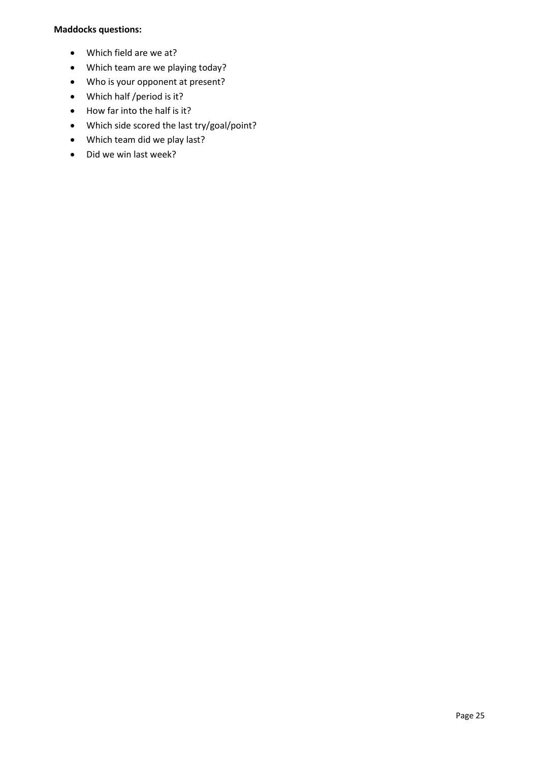## **Maddocks questions:**

- Which field are we at?
- Which team are we playing today?
- Who is your opponent at present?
- Which half /period is it?
- How far into the half is it?
- Which side scored the last try/goal/point?
- Which team did we play last?
- Did we win last week?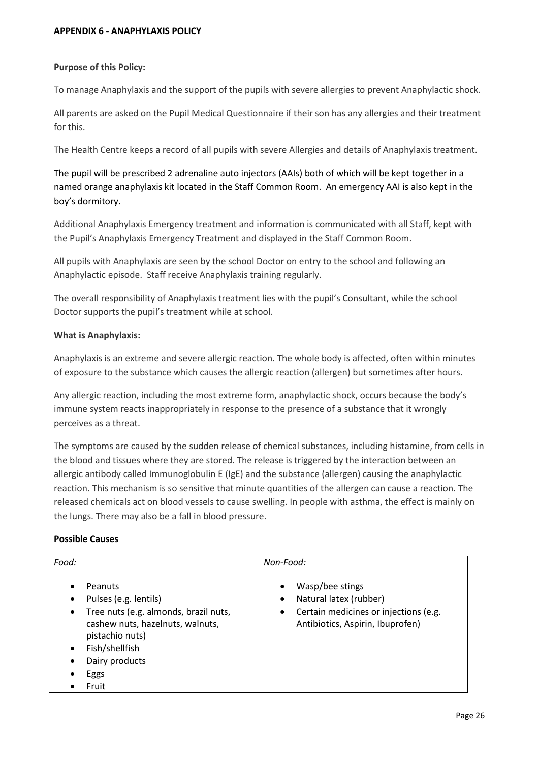#### <span id="page-25-0"></span>**Purpose of this Policy:**

To manage Anaphylaxis and the support of the pupils with severe allergies to prevent Anaphylactic shock.

All parents are asked on the Pupil Medical Questionnaire if their son has any allergies and their treatment for this.

The Health Centre keeps a record of all pupils with severe Allergies and details of Anaphylaxis treatment.

The pupil will be prescribed 2 adrenaline auto injectors (AAIs) both of which will be kept together in a named orange anaphylaxis kit located in the Staff Common Room. An emergency AAI is also kept in the boy's dormitory.

Additional Anaphylaxis Emergency treatment and information is communicated with all Staff, kept with the Pupil's Anaphylaxis Emergency Treatment and displayed in the Staff Common Room.

All pupils with Anaphylaxis are seen by the school Doctor on entry to the school and following an Anaphylactic episode. Staff receive Anaphylaxis training regularly.

The overall responsibility of Anaphylaxis treatment lies with the pupil's Consultant, while the school Doctor supports the pupil's treatment while at school.

## **What is Anaphylaxis:**

Anaphylaxis is an extreme and severe allergic reaction. The whole body is affected, often within minutes of exposure to the substance which causes the allergic reaction (allergen) but sometimes after hours.

Any allergic reaction, including the most extreme form, anaphylactic shock, occurs because the body's immune system reacts inappropriately in response to the presence of a substance that it wrongly perceives as a threat.

The symptoms are caused by the sudden release of chemical substances, including histamine, from cells in the blood and tissues where they are stored. The release is triggered by the interaction between an allergic antibody called Immunoglobulin E (IgE) and the substance (allergen) causing the anaphylactic reaction. This mechanism is so sensitive that minute quantities of the allergen can cause a reaction. The released chemicals act on blood vessels to cause swelling. In people with asthma, the effect is mainly on the lungs. There may also be a fall in blood pressure.

#### **Possible Causes**

| Food:                                                                                                                                                                                                                                                       | Non-Food:                                                                                                                                     |
|-------------------------------------------------------------------------------------------------------------------------------------------------------------------------------------------------------------------------------------------------------------|-----------------------------------------------------------------------------------------------------------------------------------------------|
| Peanuts<br>$\bullet$<br>Pulses (e.g. lentils)<br>$\bullet$<br>Tree nuts (e.g. almonds, brazil nuts,<br>$\bullet$<br>cashew nuts, hazelnuts, walnuts,<br>pistachio nuts)<br>Fish/shellfish<br>$\bullet$<br>Dairy products<br>$\bullet$<br>Eggs<br>٠<br>Fruit | Wasp/bee stings<br>٠<br>Natural latex (rubber)<br>٠<br>Certain medicines or injections (e.g.<br>$\bullet$<br>Antibiotics, Aspirin, Ibuprofen) |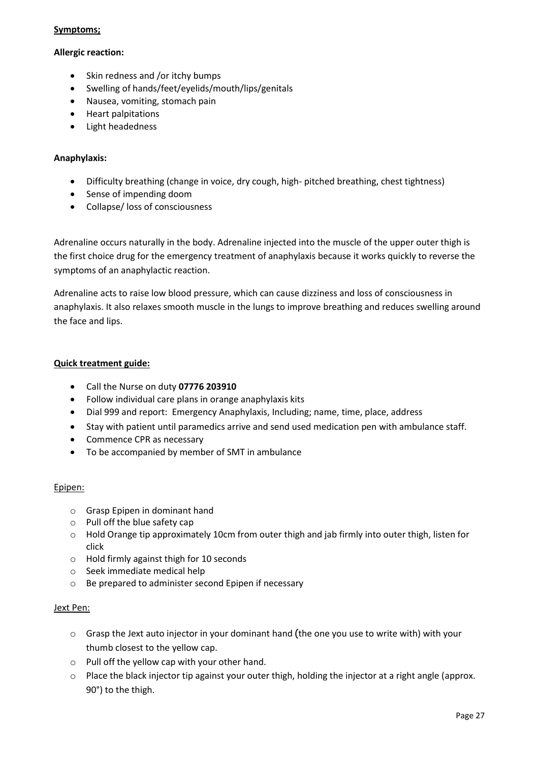#### **Symptoms;**

## **Allergic reaction:**

- Skin redness and /or itchy bumps
- Swelling of hands/feet/eyelids/mouth/lips/genitals
- Nausea, vomiting, stomach pain
- Heart palpitations
- Light headedness

# **Anaphylaxis:**

- Difficulty breathing (change in voice, dry cough, high- pitched breathing, chest tightness)
- Sense of impending doom
- Collapse/ loss of consciousness

Adrenaline occurs naturally in the body. Adrenaline injected into the muscle of the upper outer thigh is the first choice drug for the emergency treatment of anaphylaxis because it works quickly to reverse the symptoms of an anaphylactic reaction.

Adrenaline acts to raise low blood pressure, which can cause dizziness and loss of consciousness in anaphylaxis. It also relaxes smooth muscle in the lungs to improve breathing and reduces swelling around the face and lips.

## **Quick treatment guide:**

- Call the Nurse on duty **07776 203910**
- Follow individual care plans in orange anaphylaxis kits
- Dial 999 and report: Emergency Anaphylaxis, Including; name, time, place, address
- Stay with patient until paramedics arrive and send used medication pen with ambulance staff.
- Commence CPR as necessary
- To be accompanied by member of SMT in ambulance

# Epipen:

- o Grasp Epipen in dominant hand
- o Pull off the blue safety cap
- $\circ$  Hold Orange tip approximately 10cm from outer thigh and jab firmly into outer thigh, listen for click
- o Hold firmly against thigh for 10 seconds
- o Seek immediate medical help
- o Be prepared to administer second Epipen if necessary

#### Jext Pen:

- $\circ$  Grasp the Jext auto injector in your dominant hand (the one you use to write with) with your thumb closest to the yellow cap.
- o Pull off the yellow cap with your other hand.
- o Place the black injector tip against your outer thigh, holding the injector at a right angle (approx. 90°) to the thigh.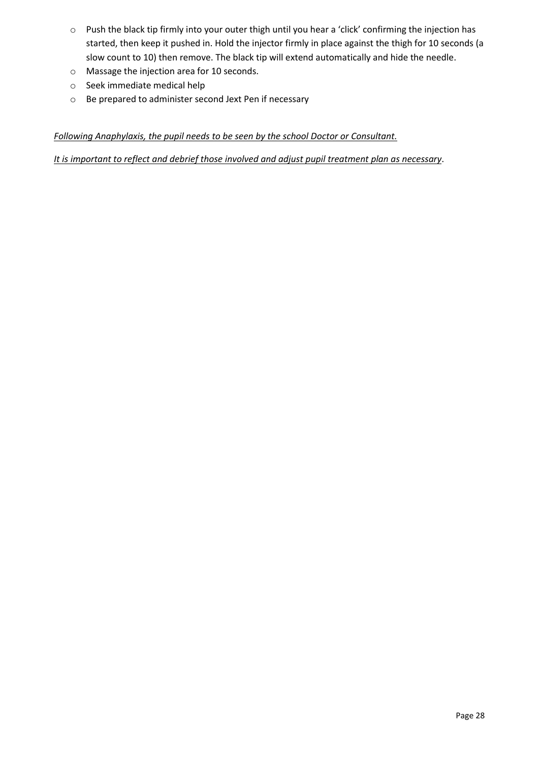- o Push the black tip firmly into your outer thigh until you hear a 'click' confirming the injection has started, then keep it pushed in. Hold the injector firmly in place against the thigh for 10 seconds (a slow count to 10) then remove. The black tip will extend automatically and hide the needle.
- o Massage the injection area for 10 seconds.
- o Seek immediate medical help
- o Be prepared to administer second Jext Pen if necessary

# *Following Anaphylaxis, the pupil needs to be seen by the school Doctor or Consultant.*

*It is important to reflect and debrief those involved and adjust pupil treatment plan as necessary*.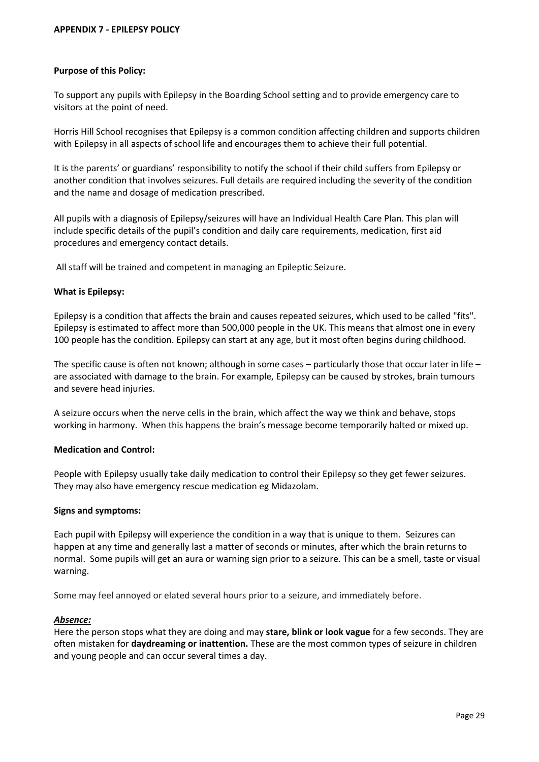#### <span id="page-28-0"></span>**Purpose of this Policy:**

To support any pupils with Epilepsy in the Boarding School setting and to provide emergency care to visitors at the point of need.

Horris Hill School recognises that Epilepsy is a common condition affecting children and supports children with Epilepsy in all aspects of school life and encourages them to achieve their full potential.

It is the parents' or guardians' responsibility to notify the school if their child suffers from Epilepsy or another condition that involves seizures. Full details are required including the severity of the condition and the name and dosage of medication prescribed.

All pupils with a diagnosis of Epilepsy/seizures will have an Individual Health Care Plan. This plan will include specific details of the pupil's condition and daily care requirements, medication, first aid procedures and emergency contact details.

All staff will be trained and competent in managing an Epileptic Seizure.

#### **What is Epilepsy:**

Epilepsy is a condition that affects the brain and causes repeated seizures, which used to be called "fits". Epilepsy is estimated to affect more than 500,000 people in the UK. This means that almost one in every 100 people has the condition. Epilepsy can start at any age, but it most often begins during childhood.

The specific cause is often not known; although in some cases – particularly those that occur later in life – are associated with damage to the brain. For example, Epilepsy can be caused by strokes, brain tumours and severe head injuries.

A seizure occurs when the nerve cells in the brain, which affect the way we think and behave, stops working in harmony. When this happens the brain's message become temporarily halted or mixed up.

#### **Medication and Control:**

People with Epilepsy usually take daily medication to control their Epilepsy so they get fewer seizures. They may also have emergency rescue medication eg Midazolam.

#### **Signs and symptoms:**

Each pupil with Epilepsy will experience the condition in a way that is unique to them. Seizures can happen at any time and generally last a matter of seconds or minutes, after which the brain returns to normal. Some pupils will get an aura or warning sign prior to a seizure. This can be a smell, taste or visual warning.

Some may feel annoyed or elated several hours prior to a seizure, and immediately before.

#### *Absence:*

Here the person stops what they are doing and may **stare, blink or look vague** for a few seconds. They are often mistaken for **daydreaming or inattention.** These are the most common types of seizure in children and young people and can occur several times a day.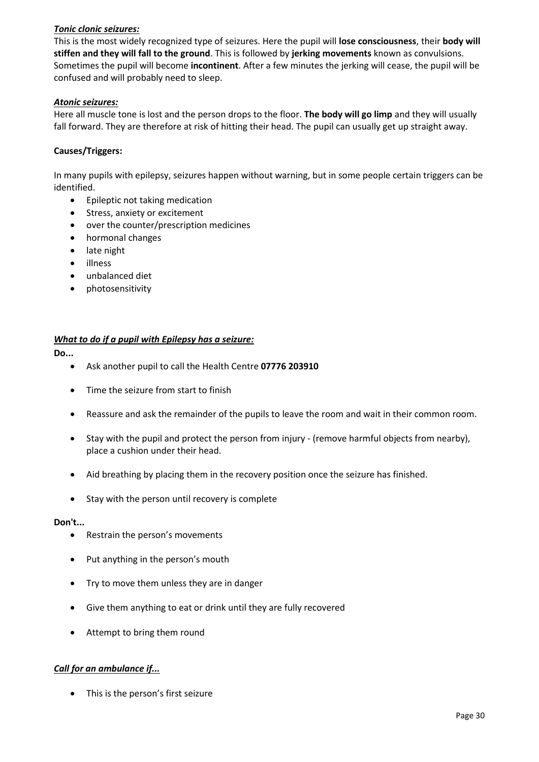# *Tonic clonic seizures:*

This is the most widely recognized type of seizures. Here the pupil will **lose consciousness**, their **body will stiffen and they will fall to the ground**. This is followed by **jerking movements** known as convulsions. Sometimes the pupil will become **incontinent**. After a few minutes the jerking will cease, the pupil will be confused and will probably need to sleep.

#### *Atonic seizures:*

Here all muscle tone is lost and the person drops to the floor. **The body will go limp** and they will usually fall forward. They are therefore at risk of hitting their head. The pupil can usually get up straight away. **5**

#### **Causes/Triggers:**

In many pupils with epilepsy, seizures happen without warning, but in some people certain triggers can be identified.

- Epileptic not taking medication
- Stress, anxiety or excitement
- over the counter/prescription medicines
- hormonal changes
- late night
- illness
- unbalanced diet
- photosensitivity

#### *What to do if a pupil with Epilepsy has a seizure:*

#### **Do...**

- Ask another pupil to call the Health Centre **07776 203910**
- Time the seizure from start to finish
- Reassure and ask the remainder of the pupils to leave the room and wait in their common room.
- Stay with the pupil and protect the person from injury (remove harmful objects from nearby), place a cushion under their head.
- Aid breathing by placing them in the recovery position once the seizure has finished.
- Stay with the person until recovery is complete

#### **Don't...**

- Restrain the person's movements
- Put anything in the person's mouth
- Try to move them unless they are in danger
- Give them anything to eat or drink until they are fully recovered
- Attempt to bring them round

# *Call for an ambulance if...*

• This is the person's first seizure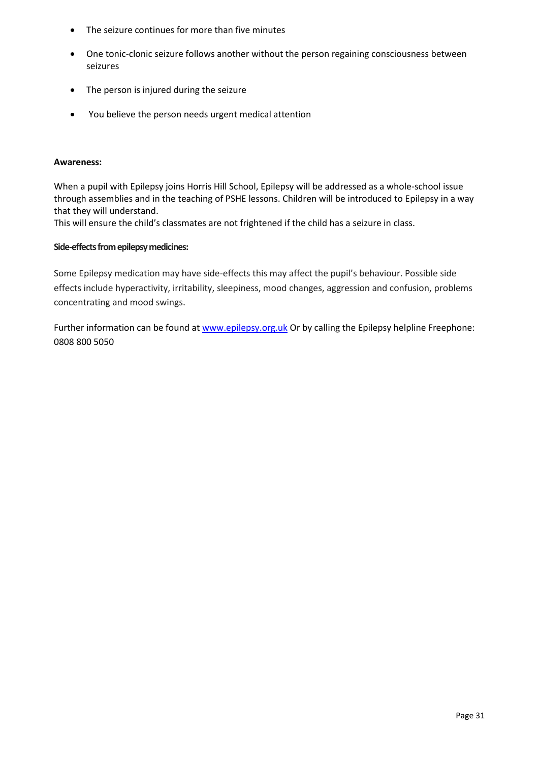- The seizure continues for more than five minutes
- One tonic-clonic seizure follows another without the person regaining consciousness between seizures
- The person is injured during the seizure
- You believe the person needs urgent medical attention

#### **Awareness:**

When a pupil with Epilepsy joins Horris Hill School, Epilepsy will be addressed as a whole-school issue through assemblies and in the teaching of PSHE lessons. Children will be introduced to Epilepsy in a way that they will understand.

This will ensure the child's classmates are not frightened if the child has a seizure in class.

## **Side-effects from epilepsy medicines:**

Some Epilepsy medication may have side-effects this may affect the pupil's behaviour. Possible side effects include hyperactivity, irritability, sleepiness, mood changes, aggression and confusion, problems concentrating and mood swings.

Further information can be found at [www.epilepsy.org.uk](http://www.epilepsy.org.uk/) Or by calling the Epilepsy helpline Freephone: 0808 800 5050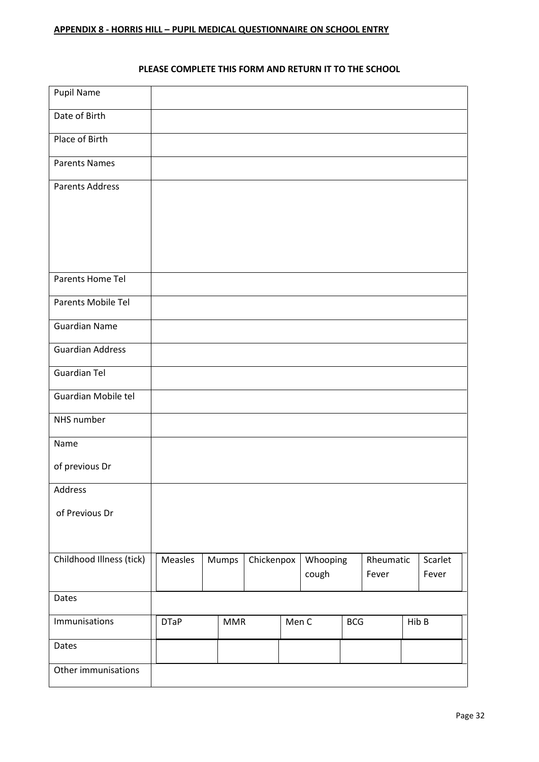# **PLEASE COMPLETE THIS FORM AND RETURN IT TO THE SCHOOL**

<span id="page-31-0"></span>

| Pupil Name               |             |            |            |       |                   |            |                    |                  |
|--------------------------|-------------|------------|------------|-------|-------------------|------------|--------------------|------------------|
| Date of Birth            |             |            |            |       |                   |            |                    |                  |
| Place of Birth           |             |            |            |       |                   |            |                    |                  |
| <b>Parents Names</b>     |             |            |            |       |                   |            |                    |                  |
| <b>Parents Address</b>   |             |            |            |       |                   |            |                    |                  |
|                          |             |            |            |       |                   |            |                    |                  |
|                          |             |            |            |       |                   |            |                    |                  |
|                          |             |            |            |       |                   |            |                    |                  |
| Parents Home Tel         |             |            |            |       |                   |            |                    |                  |
| Parents Mobile Tel       |             |            |            |       |                   |            |                    |                  |
| <b>Guardian Name</b>     |             |            |            |       |                   |            |                    |                  |
| <b>Guardian Address</b>  |             |            |            |       |                   |            |                    |                  |
| <b>Guardian Tel</b>      |             |            |            |       |                   |            |                    |                  |
| Guardian Mobile tel      |             |            |            |       |                   |            |                    |                  |
| NHS number               |             |            |            |       |                   |            |                    |                  |
| Name                     |             |            |            |       |                   |            |                    |                  |
| of previous Dr           |             |            |            |       |                   |            |                    |                  |
| Address                  |             |            |            |       |                   |            |                    |                  |
| of Previous Dr           |             |            |            |       |                   |            |                    |                  |
|                          |             |            |            |       |                   |            |                    |                  |
| Childhood Illness (tick) | Measles     | Mumps      | Chickenpox |       | Whooping<br>cough |            | Rheumatic<br>Fever | Scarlet<br>Fever |
|                          |             |            |            |       |                   |            |                    |                  |
| Dates                    |             |            |            |       |                   |            |                    |                  |
| Immunisations            | <b>DTaP</b> | <b>MMR</b> |            | Men C |                   | <b>BCG</b> |                    | HibB             |
| Dates                    |             |            |            |       |                   |            |                    |                  |
| Other immunisations      |             |            |            |       |                   |            |                    |                  |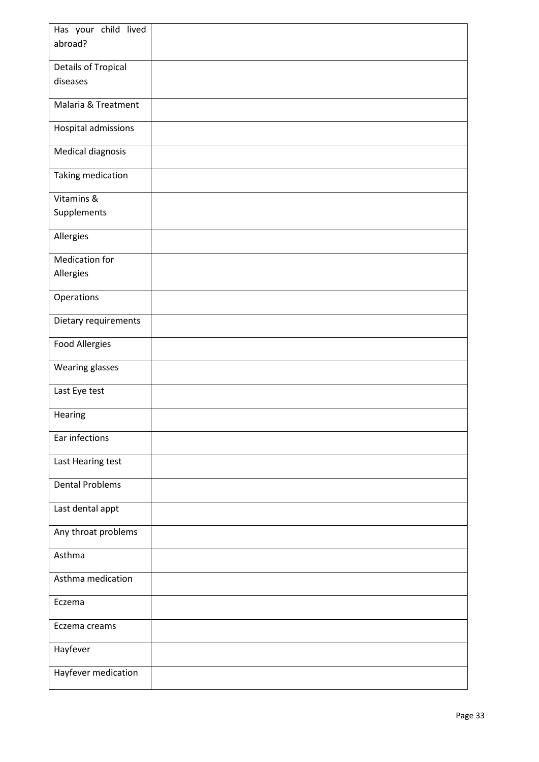| Has your child lived       |  |
|----------------------------|--|
| abroad?                    |  |
|                            |  |
| <b>Details of Tropical</b> |  |
| diseases                   |  |
| Malaria & Treatment        |  |
| Hospital admissions        |  |
| Medical diagnosis          |  |
| Taking medication          |  |
| Vitamins &                 |  |
| Supplements                |  |
| Allergies                  |  |
| <b>Medication for</b>      |  |
| Allergies                  |  |
| Operations                 |  |
| Dietary requirements       |  |
| <b>Food Allergies</b>      |  |
| Wearing glasses            |  |
| Last Eye test              |  |
| Hearing                    |  |
| Ear infections             |  |
| Last Hearing test          |  |
| <b>Dental Problems</b>     |  |
| Last dental appt           |  |
| Any throat problems        |  |
| Asthma                     |  |
| Asthma medication          |  |
| Eczema                     |  |
| Eczema creams              |  |
| Hayfever                   |  |
| Hayfever medication        |  |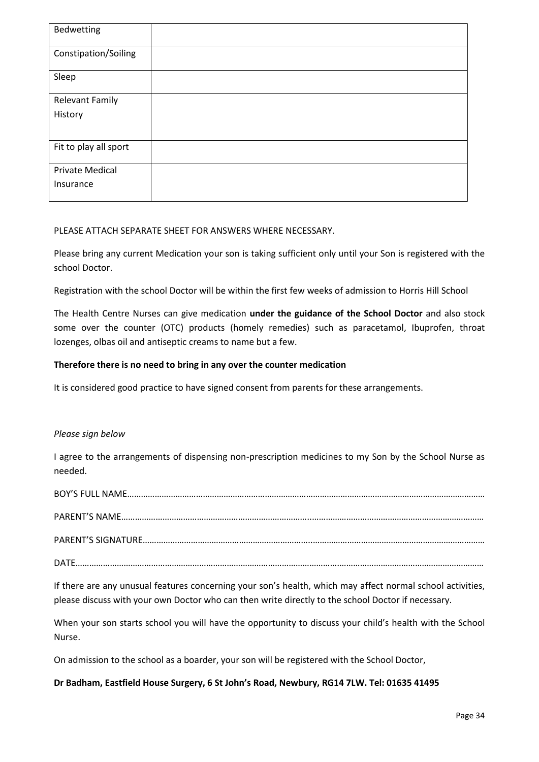| Bedwetting             |  |
|------------------------|--|
| Constipation/Soiling   |  |
| Sleep                  |  |
| <b>Relevant Family</b> |  |
| History                |  |
|                        |  |
| Fit to play all sport  |  |
| <b>Private Medical</b> |  |
| Insurance              |  |
|                        |  |

#### PLEASE ATTACH SEPARATE SHEET FOR ANSWERS WHERE NECESSARY.

Please bring any current Medication your son is taking sufficient only until your Son is registered with the school Doctor.

Registration with the school Doctor will be within the first few weeks of admission to Horris Hill School

The Health Centre Nurses can give medication **under the guidance of the School Doctor** and also stock some over the counter (OTC) products (homely remedies) such as paracetamol, Ibuprofen, throat lozenges, olbas oil and antiseptic creams to name but a few.

#### **Therefore there is no need to bring in any over the counter medication**

It is considered good practice to have signed consent from parents for these arrangements.

#### *Please sign below*

I agree to the arrangements of dispensing non-prescription medicines to my Son by the School Nurse as needed.

PARENT'S NAME………………………………………………………………………..………………………………………………………………… PARENT'S SIGNATURE………………………………………………………………..…………………………………………………………………

DATE…………………………………………………………………………………………………….………………………………………………………

If there are any unusual features concerning your son's health, which may affect normal school activities, please discuss with your own Doctor who can then write directly to the school Doctor if necessary.

When your son starts school you will have the opportunity to discuss your child's health with the School Nurse.

On admission to the school as a boarder, your son will be registered with the School Doctor,

#### **Dr Badham, Eastfield House Surgery, 6 St John's Road, Newbury, RG14 7LW. Tel: 01635 41495**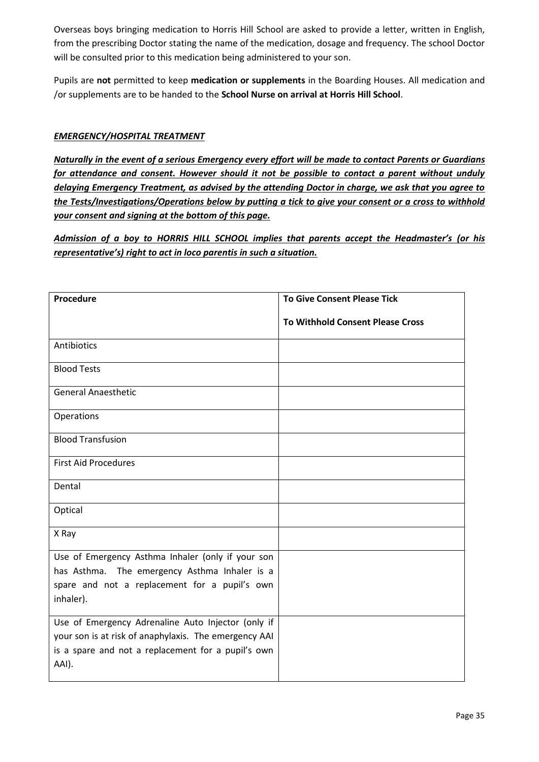Overseas boys bringing medication to Horris Hill School are asked to provide a letter, written in English, from the prescribing Doctor stating the name of the medication, dosage and frequency. The school Doctor will be consulted prior to this medication being administered to your son.

Pupils are **not** permitted to keep **medication or supplements** in the Boarding Houses. All medication and /or supplements are to be handed to the **School Nurse on arrival at Horris Hill School**.

# *EMERGENCY/HOSPITAL TREATMENT*

*Naturally in the event of a serious Emergency every effort will be made to contact Parents or Guardians for attendance and consent. However should it not be possible to contact a parent without unduly delaying Emergency Treatment, as advised by the attending Doctor in charge, we ask that you agree to the Tests/Investigations/Operations below by putting a tick to give your consent or a cross to withhold your consent and signing at the bottom of this page.*

*Admission of a boy to HORRIS HILL SCHOOL implies that parents accept the Headmaster's (or his representative's) right to act in loco parentis in such a situation.*

| <b>To Give Consent Please Tick</b>      |
|-----------------------------------------|
| <b>To Withhold Consent Please Cross</b> |
|                                         |
|                                         |
|                                         |
|                                         |
|                                         |
|                                         |
|                                         |
|                                         |
|                                         |
|                                         |
|                                         |
|                                         |
|                                         |
|                                         |
|                                         |
|                                         |
|                                         |
|                                         |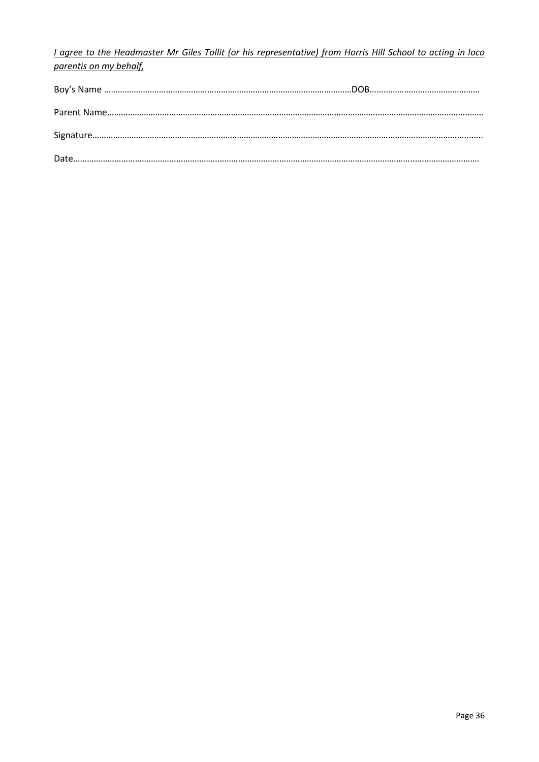*I agree to the Headmaster Mr Giles Tollit (or his representative) from Horris Hill School to acting in loco parentis on my behalf,*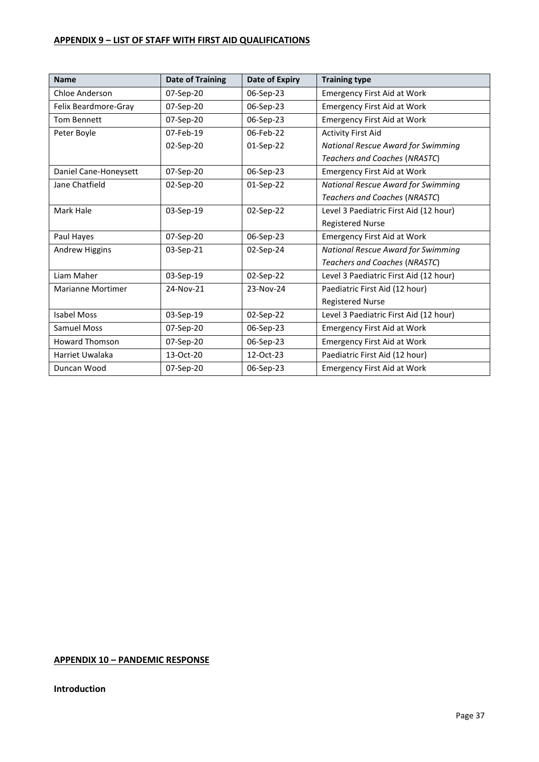# <span id="page-36-0"></span>**APPENDIX 9 – LIST OF STAFF WITH FIRST AID QUALIFICATIONS**

| <b>Name</b>           | <b>Date of Training</b> | <b>Date of Expiry</b> | <b>Training type</b>                      |
|-----------------------|-------------------------|-----------------------|-------------------------------------------|
| <b>Chloe Anderson</b> | 07-Sep-20               | 06-Sep-23             | <b>Emergency First Aid at Work</b>        |
| Felix Beardmore-Gray  | 07-Sep-20               | 06-Sep-23             | <b>Emergency First Aid at Work</b>        |
| <b>Tom Bennett</b>    | 07-Sep-20               | 06-Sep-23             | <b>Emergency First Aid at Work</b>        |
| Peter Boyle           | 07-Feb-19               | 06-Feb-22             | <b>Activity First Aid</b>                 |
|                       | 02-Sep-20               | 01-Sep-22             | National Rescue Award for Swimming        |
|                       |                         |                       | Teachers and Coaches (NRASTC)             |
| Daniel Cane-Honeysett | 07-Sep-20               | 06-Sep-23             | <b>Emergency First Aid at Work</b>        |
| Jane Chatfield        | 02-Sep-20               | 01-Sep-22             | National Rescue Award for Swimming        |
|                       |                         |                       | Teachers and Coaches (NRASTC)             |
| Mark Hale             | 03-Sep-19               | 02-Sep-22             | Level 3 Paediatric First Aid (12 hour)    |
|                       |                         |                       | <b>Registered Nurse</b>                   |
| Paul Hayes            | 07-Sep-20               | 06-Sep-23             | <b>Emergency First Aid at Work</b>        |
| Andrew Higgins        | 03-Sep-21               | 02-Sep-24             | <b>National Rescue Award for Swimming</b> |
|                       |                         |                       | Teachers and Coaches (NRASTC)             |
| Liam Maher            | 03-Sep-19               | 02-Sep-22             | Level 3 Paediatric First Aid (12 hour)    |
| Marianne Mortimer     | 24-Nov-21               | 23-Nov-24             | Paediatric First Aid (12 hour)            |
|                       |                         |                       | <b>Registered Nurse</b>                   |
| <b>Isabel Moss</b>    | 03-Sep-19               | 02-Sep-22             | Level 3 Paediatric First Aid (12 hour)    |
| <b>Samuel Moss</b>    | 07-Sep-20               | 06-Sep-23             | <b>Emergency First Aid at Work</b>        |
| Howard Thomson        | 07-Sep-20               | 06-Sep-23             | <b>Emergency First Aid at Work</b>        |
| Harriet Uwalaka       | 13-Oct-20               | 12-Oct-23             | Paediatric First Aid (12 hour)            |
| Duncan Wood           | 07-Sep-20               | 06-Sep-23             | <b>Emergency First Aid at Work</b>        |

# <span id="page-36-1"></span>**APPENDIX 10 – PANDEMIC RESPONSE**

#### **Introduction**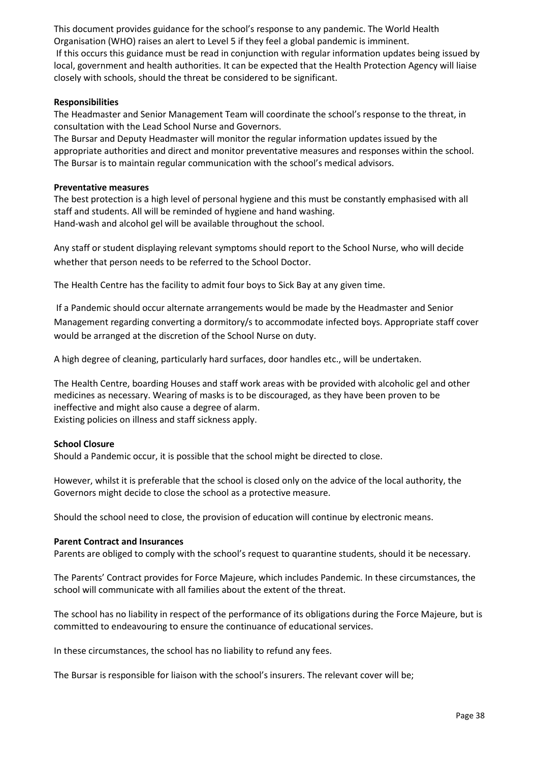This document provides guidance for the school's response to any pandemic. The World Health Organisation (WHO) raises an alert to Level 5 if they feel a global pandemic is imminent.

If this occurs this guidance must be read in conjunction with regular information updates being issued by local, government and health authorities. It can be expected that the Health Protection Agency will liaise closely with schools, should the threat be considered to be significant.

#### **Responsibilities**

The Headmaster and Senior Management Team will coordinate the school's response to the threat, in consultation with the Lead School Nurse and Governors.

The Bursar and Deputy Headmaster will monitor the regular information updates issued by the appropriate authorities and direct and monitor preventative measures and responses within the school. The Bursar is to maintain regular communication with the school's medical advisors.

#### **Preventative measures**

The best protection is a high level of personal hygiene and this must be constantly emphasised with all staff and students. All will be reminded of hygiene and hand washing. Hand-wash and alcohol gel will be available throughout the school.

Any staff or student displaying relevant symptoms should report to the School Nurse, who will decide whether that person needs to be referred to the School Doctor.

The Health Centre has the facility to admit four boys to Sick Bay at any given time.

If a Pandemic should occur alternate arrangements would be made by the Headmaster and Senior Management regarding converting a dormitory/s to accommodate infected boys. Appropriate staff cover would be arranged at the discretion of the School Nurse on duty.

A high degree of cleaning, particularly hard surfaces, door handles etc., will be undertaken.

The Health Centre, boarding Houses and staff work areas with be provided with alcoholic gel and other medicines as necessary. Wearing of masks is to be discouraged, as they have been proven to be ineffective and might also cause a degree of alarm. Existing policies on illness and staff sickness apply.

#### **School Closure**

Should a Pandemic occur, it is possible that the school might be directed to close.

However, whilst it is preferable that the school is closed only on the advice of the local authority, the Governors might decide to close the school as a protective measure.

Should the school need to close, the provision of education will continue by electronic means.

#### **Parent Contract and Insurances**

Parents are obliged to comply with the school's request to quarantine students, should it be necessary.

The Parents' Contract provides for Force Majeure, which includes Pandemic. In these circumstances, the school will communicate with all families about the extent of the threat.

The school has no liability in respect of the performance of its obligations during the Force Majeure, but is committed to endeavouring to ensure the continuance of educational services.

In these circumstances, the school has no liability to refund any fees.

The Bursar is responsible for liaison with the school's insurers. The relevant cover will be;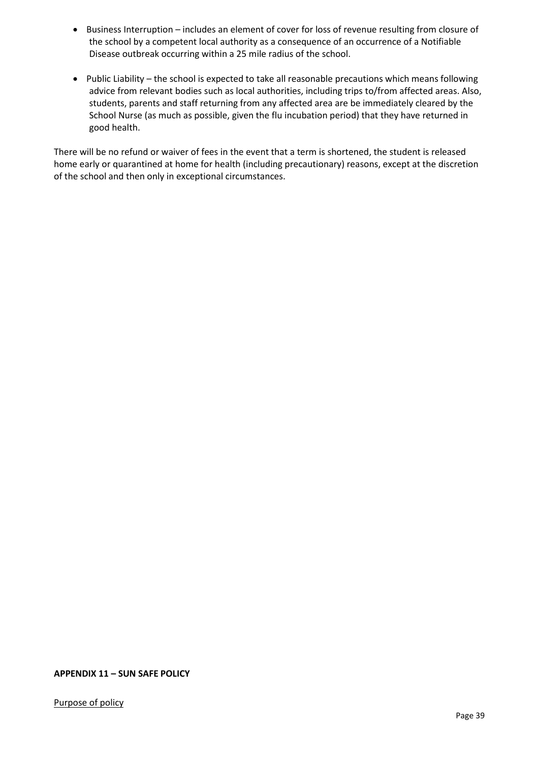- Business Interruption includes an element of cover for loss of revenue resulting from closure of the school by a competent local authority as a consequence of an occurrence of a Notifiable Disease outbreak occurring within a 25 mile radius of the school.
- Public Liability the school is expected to take all reasonable precautions which means following advice from relevant bodies such as local authorities, including trips to/from affected areas. Also, students, parents and staff returning from any affected area are be immediately cleared by the School Nurse (as much as possible, given the flu incubation period) that they have returned in good health.

There will be no refund or waiver of fees in the event that a term is shortened, the student is released home early or quarantined at home for health (including precautionary) reasons, except at the discretion of the school and then only in exceptional circumstances.

<span id="page-38-0"></span>**APPENDIX 11 – SUN SAFE POLICY**

Purpose of policy